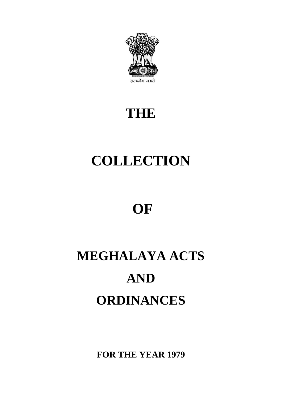

## **THE**

# **COLLECTION**

## **OF**

# **MEGHALAYA ACTS AND ORDINANCES**

**FOR THE YEAR 1979**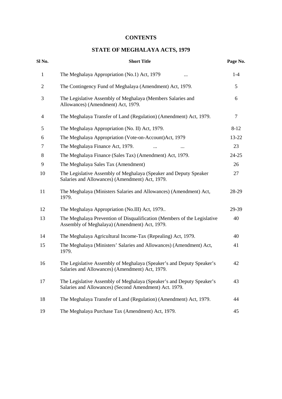## **CONTENTS**

## **STATE OF MEGHALAYA ACTS, 1979**

| Sl No.       | <b>Short Title</b>                                                                                                              | Page No. |
|--------------|---------------------------------------------------------------------------------------------------------------------------------|----------|
| $\mathbf{1}$ | The Meghalaya Appropriation (No.1) Act, 1979                                                                                    | $1-4$    |
| $\mathbf{2}$ | The Contingency Fund of Meghalaya (Amendment) Act, 1979.                                                                        | 5        |
| 3            | The Legislative Assembly of Meghalaya (Members Salaries and<br>Allowances) (Amendment) Act, 1979.                               | 6        |
| 4            | The Meghalaya Transfer of Land (Regulation) (Amendment) Act, 1979.                                                              | $\tau$   |
| 5            | The Meghalaya Appropriation (No. II) Act, 1979.                                                                                 | $8 - 12$ |
| 6            | The Meghalaya Appropriation (Vote-on-Account)Act, 1979                                                                          | 13-22    |
| 7            | The Meghalaya Finance Act, 1979.                                                                                                | 23       |
| 8            | The Meghalaya Finance (Sales Tax) (Amendment) Act, 1979.                                                                        | 24-25    |
| 9            | The Meghalaya Sales Tax (Amendment)                                                                                             | 26       |
| 10           | The Legislative Assembly of Meghalaya (Speaker and Deputy Speaker<br>Salaries and Allowances) (Amendment) Act, 1979.            | 27       |
| 11           | The Meghalaya (Ministers Salaries and Allowances) (Amendment) Act,<br>1979.                                                     | 28-29    |
| 12           | The Meghalaya Appropriation (No.III) Act, 1979                                                                                  | 29-39    |
| 13           | The Meghalaya Prevention of Disqualification (Members of the Legislative<br>Assembly of Meghalaya) (Amendment) Act, 1979.       | 40       |
| 14           | The Meghalaya Agricultural Income-Tax (Repealing) Act, 1979.                                                                    | 40       |
| 15           | The Meghalaya (Ministers' Salaries and Allowances) (Amendment) Act,<br>1979.                                                    | 41       |
| 16           | The Legislative Assembly of Meghalaya (Speaker's and Deputy Speaker's<br>Salaries and Allowances) (Amendment) Act, 1979.        | 42       |
| 17           | The Legislative Assembly of Meghalaya (Speaker's and Deputy Speaker's<br>Salaries and Allowances) (Second Amendment) Act. 1979. | 43       |
| 18           | The Meghalaya Transfer of Land (Regulation) (Amendment) Act, 1979.                                                              | 44       |
| 19           | The Meghalaya Purchase Tax (Amendment) Act, 1979.                                                                               | 45       |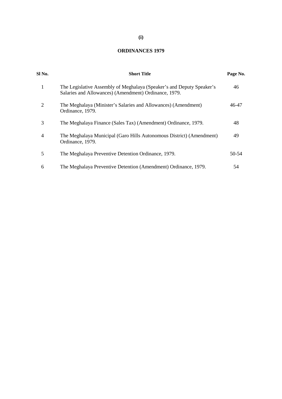## **ORDINANCES 1979**

| Sl No. | <b>Short Title</b>                                                                                                             | Page No. |  |
|--------|--------------------------------------------------------------------------------------------------------------------------------|----------|--|
| 1      | The Legislative Assembly of Meghalaya (Speaker's and Deputy Speaker's<br>Salaries and Allowances) (Amendment) Ordinance, 1979. | 46       |  |
| 2      | The Meghalaya (Minister's Salaries and Allowances) (Amendment)<br>Ordinance, 1979.                                             | 46-47    |  |
| 3      | The Meghalaya Finance (Sales Tax) (Amendment) Ordinance, 1979.                                                                 | 48       |  |
| 4      | The Meghalaya Municipal (Garo Hills Autonomous District) (Amendment)<br>Ordinance, 1979.                                       | 49       |  |
| 5      | The Meghalaya Preventive Detention Ordinance, 1979.                                                                            | 50-54    |  |
| 6      | The Meghalaya Preventive Detention (Amendment) Ordinance, 1979.                                                                | 54       |  |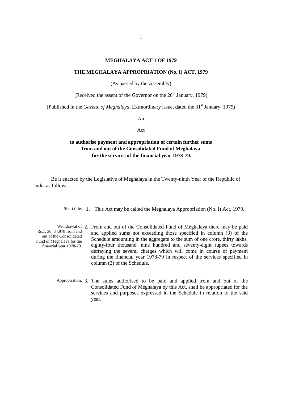#### **MEGHALAYA ACT 1 OF 1979**

#### **THE MEGHALAYA APPROPRIATION (No. I) ACT, 1979**

(As passed by the Assembly)

[Received the assent of the Governor on the  $26<sup>th</sup>$  January, 1979]

(Published in the *Gazette of Meghalaya*, Extraordinary issue, dated the 31<sup>st</sup> January, 1979)

An

#### Act

## **to authorise payment and appropriation of certain further sums from and out of the Consolidated Fund of Meghalaya for the services of the financial year 1978-79.**

Be it enacted by the Legislative of Meghalaya in the Twenty-ninth Year of the Republic of India as follows:-

Short title. 1. This Act may be called the Meghalaya Appropriation (No. I) Act, 1979.

- Withdrawal of 2. From and out of the Consolidated Fund of Meghalaya there may be paid Rs.1, 30, 84,978 from and out of the Consolidated Fund of Meghalaya for the financial year 1978-79. and applied sums not exceeding those specified in column (3) of the Schedule amounting in the aggregate to the sum of one crore, thirty lakhs, eighty-four thousand, nine hundred and seventy-eight rupees towards defraying the several charges which will come in course of payment during the financial year 1978-79 in respect of the services specified in column (2) of the Schedule.
	- Appropriation. 3. The sums authorised to be paid and applied from and out of the Consolidated Fund of Meghalaya by this Act, shall be appropriated for the services and purposes expressed in the Schedule in relation to the said year.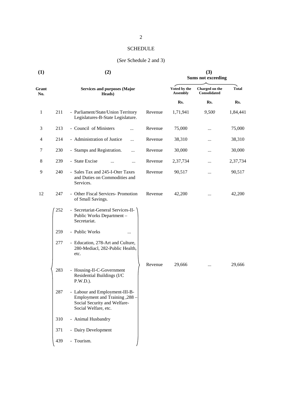## SCHEDULE

## (*See* Schedule 2 and 3)

| (1)          |     | (2)                                                                                                                              | (3)<br><b>Sums not exceeding</b> |                                 |                                |          |
|--------------|-----|----------------------------------------------------------------------------------------------------------------------------------|----------------------------------|---------------------------------|--------------------------------|----------|
| Grant<br>No. |     | <b>Services and purposes (Major</b><br>Heads)                                                                                    |                                  | Voted by the<br><b>Assembly</b> | Charged on the<br>Consolidated | Total    |
|              |     |                                                                                                                                  |                                  | Rs.                             | Rs.                            | Rs.      |
| $\mathbf{1}$ | 211 | - Parliament/State/Union Territory<br>Legislatures-B-State Legislature.                                                          | Revenue                          | 1,71,941                        | 9,500                          | 1,84,441 |
| 3            | 213 | - Council of Ministers<br>$\ddotsc$                                                                                              | Revenue                          | 75,000                          |                                | 75,000   |
| 4            | 214 | - Administration of Justice<br>                                                                                                  | Revenue                          | 38,310                          |                                | 38,310   |
| 7            | 230 | - Stamps and Registration.<br>$\cdots$                                                                                           | Revenue                          | 30,000                          | $\cdots$                       | 30,000   |
| 8            | 239 | - State Excise<br>                                                                                                               | Revenue                          | 2,37,734                        |                                | 2,37,734 |
| 9            | 240 | - Sales Tax and 245-I-Oter Taxes<br>and Duties on Commodities and<br>Services.                                                   | Revenue                          | 90,517                          |                                | 90,517   |
| 12           | 247 | - Other Fiscal Services- Promotion<br>of Small Savings.                                                                          | Revenue                          | 42,200                          |                                | 42,200   |
|              | 252 | - Secretariat-General Services-II-<br>Public Works Department -<br>Secretariat.                                                  |                                  |                                 |                                |          |
|              | 259 | - Public Works                                                                                                                   |                                  |                                 |                                |          |
|              | 277 | - Education, 278-Art and Culture,<br>280-Mediacl, 282-Public Health,<br>etc.                                                     |                                  |                                 |                                |          |
|              | 283 | - Housing-II-C-Government<br>Residential Buildings (I/C<br>P.W.D.).                                                              | Revenue                          | 29,666                          |                                | 29,666   |
|              | 287 | - Labour and Employment-III-B-<br><b>Employment and Training , 288 -</b><br>Social Security and Welfare-<br>Social Welfare, etc. |                                  |                                 |                                |          |
|              | 310 | - Animal Husbandry                                                                                                               |                                  |                                 |                                |          |
|              | 371 | - Dairy Development                                                                                                              |                                  |                                 |                                |          |
|              | 439 | - Tourism.                                                                                                                       |                                  |                                 |                                |          |
|              |     |                                                                                                                                  |                                  |                                 |                                |          |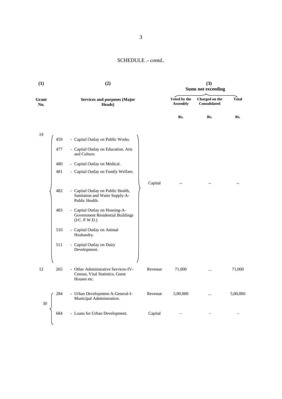| (1)          |     | (2)                                                                                    | (3)<br><b>Sums not exceeding</b> |                          |                                |              |
|--------------|-----|----------------------------------------------------------------------------------------|----------------------------------|--------------------------|--------------------------------|--------------|
| Grant<br>No. |     | <b>Services and purposes (Major</b><br>Heads)                                          |                                  | Voted by the<br>Assembly | Charged on the<br>Consolidated | <b>Total</b> |
|              |     |                                                                                        |                                  | Rs.                      | Rs.                            | Rs.          |
| 19           |     |                                                                                        |                                  |                          |                                |              |
|              | 459 | - Capital Outlay on Public Works.                                                      |                                  |                          |                                |              |
|              | 477 | - Capital Outlay on Education, Arts<br>and Culture.                                    |                                  |                          |                                |              |
|              | 480 | - Capital Outlay on Medical.                                                           |                                  |                          |                                |              |
|              | 481 | - Capital Outlay on Family Welfare.                                                    |                                  |                          |                                |              |
|              |     |                                                                                        |                                  |                          |                                |              |
|              |     |                                                                                        | Capital                          |                          |                                | $\cdots$     |
|              | 482 | - Capital Outlay on Public Health,<br>Sanitation and Water Supply-A-<br>Public Health. |                                  |                          |                                |              |
|              | 483 | - Capital Outlay on Housing-A-<br>Government Residential Buildings<br>(I/C. P.W.D.)    |                                  |                          |                                |              |
|              | 510 | - Capital Outlay on Animal<br>Husbandry.                                               |                                  |                          |                                |              |
|              | 511 | - Capital Outlay on Dairy<br>Development.                                              |                                  |                          |                                |              |
|              |     |                                                                                        |                                  |                          |                                |              |
| 12           | 265 | - Other Administrative Services-IV-<br>Census, Vital Statistics, Guest<br>Houses etc.  | Revenue                          | 71,000                   |                                | 71,000       |
| 30           | 284 | - Urban Development-A-General-I-<br>Municipal Administration.                          | Revenue                          | 5,00,000                 |                                | 5,00,000     |
|              | 684 | - Loans for Urban Development.                                                         | Capital                          | $\cdots$                 |                                | $\cdots$     |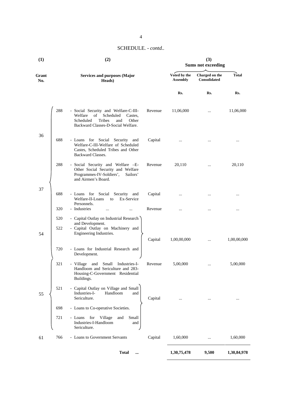4

| (1)          |            | (2)                                                                                                                                                        | (3)<br><b>Sums not exceeding</b> |                                 |                                |             |
|--------------|------------|------------------------------------------------------------------------------------------------------------------------------------------------------------|----------------------------------|---------------------------------|--------------------------------|-------------|
| Grant<br>No. |            | <b>Services and purposes (Major</b><br>Heads)                                                                                                              |                                  | Voted by the<br><b>Assembly</b> | Charged on the<br>Consolidated | Total       |
|              |            |                                                                                                                                                            |                                  | Rs.                             | Rs.                            | Rs.         |
|              | 288        | - Social Security and Welfare-C-III-<br>Welfare<br>of<br>Scheduled<br>Castes,<br>Tribes<br>Scheduled<br>Other<br>and<br>Backward Classes-D-Social Welfare. | Revenue                          | 11,06,000                       | $\cdots$                       | 11,06,000   |
| 36           | 688        | - Loans for Social Security and<br>Welfare-C-III-Welfare of Scheduled<br>Castes, Scheduled Tribes and Other<br>Backward Classes.                           | Capital                          |                                 | .                              |             |
|              | 288        | - Social Security and Welfare -E-<br>Other Social Security and Welfare<br>Programmes-IV-Soldiers',<br>Sailors'<br>and Airmen's Board.                      | Revenue                          | 20,110                          | $\cdots$                       | 20,110      |
| 37           | 688        | - Loans for Social Security and<br>Welfare-II-Loans<br>Ex-Service<br>to<br>Personnels.                                                                     | Capital                          |                                 | .                              |             |
|              | 320        | - Industries<br>                                                                                                                                           | Revenue                          | $\ddotsc$                       |                                | $\ddotsc$   |
| 54           | 520<br>522 | - Capital Outlay on Industrial Research<br>and Development.<br>- Capital Outlay on Machinery and<br>Engineering Industries.                                | Capital                          | 1,00,00,000                     | $\cdots$                       | 1,00,00,000 |
|              | 720        | - Loans for Industrial Research and<br>Development.                                                                                                        |                                  |                                 |                                |             |
|              | 321        | - Village and Small Industries-I-<br>Handloom and Sericulture and 283-<br>Housing-C-Government Residential<br>Buildings.                                   | Revenue                          | 5,00,000                        |                                | 5,00,000    |
| 55           | 521        | - Capital Outlay on Village and Small<br>Industries-I-<br>Handloom<br>and<br>Sericulture.                                                                  | Capital                          |                                 |                                | $\cdots$    |
|              | 698        | - Loans to Co-operative Societies.                                                                                                                         |                                  |                                 |                                |             |
|              | 721        | - Loans for Village<br>Small<br>and<br>Industries-I-Handloom<br>and<br>Sericulture.                                                                        |                                  |                                 |                                |             |
| 61           | 766        | - Loans to Government Servants                                                                                                                             | Capital                          | 1,60,000                        | $\cdots$                       | 1,60,000    |
|              |            | <b>Total</b><br>                                                                                                                                           |                                  | 1,30,75,478                     | 9,500                          | 1,30,84,978 |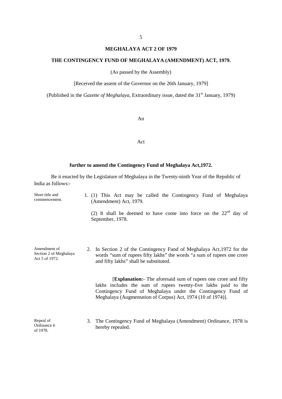#### **MEGHALAYA ACT 2 OF 1979**

#### **THE CONTINGENCY FUND OF MEGHALAYA (AMENDMENT) ACT, 1979.**

(As passed by the Assembly)

[Received the assent of the Governor on the 26th January, 1979]

(Published in the *Gazette of Meghalaya*, Extraordinary issue, dated the 31<sup>st</sup> January, 1979)

An

#### Act

#### **further to amend the Contingency Fund of Meghalaya Act,1972.**

Be it enacted by the Legislature of Meghalaya in the Twenty-ninth Year of the Republic of India as follows:-

Short title and commencement. 1. (1) This Act may be called the Contingency Fund of Meghalaya (Amendment) Act, 1979. (2) It shall be deemed to have come into force on the  $22<sup>nd</sup>$  day of September, 1978. Amendment of Section 2 of Meghalaya Act 5 of 1972. 2. In Section 2 of the Contingency Fund of Meghalaya Act,1972 for the words "sum of rupees fifty lakhs" the words "a sum of rupees one crore and fifty lakhs" shall be substituted. [**Explanation:-** The aforesaid sum of rupees one crore and fifty lakhs includes the sum of rupees twenty-five lakhs paid to the Contingency Fund of Meghalaya under the Contingency Fund of

> 3. The Contingency Fund of Meghalaya (Amendment) Ordinance, 1978 is hereby repealed.

Meghalaya (Augmentation of Corpus) Act, 1974 (10 of 1974)].

Repeal of Ordinance 6 of 1978.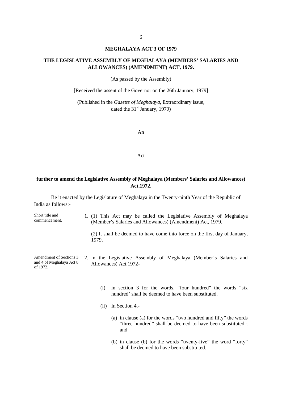#### **MEGHALAYA ACT 3 OF 1979**

## **THE LEGISLATIVE ASSEMBLY OF MEGHALAYA (MEMBERS' SALARIES AND ALLOWANCES) (AMENDMENT) ACT, 1979.**

(As passed by the Assembly)

[Received the assent of the Governor on the 26th January, 1979]

(Published in the *Gazette of Meghalaya*, Extraordinary issue, dated the  $31<sup>st</sup>$  January, 1979)

An

Act

## **further to amend the Legislative Assembly of Meghalaya (Members' Salaries and Allowances) Act,1972.**

Be it enacted by the Legislature of Meghalaya in the Twenty-ninth Year of the Republic of India as follows:-

| Short title and<br>commencement.                                | 1979. | 1. (1) This Act may be called the Legislative Assembly of Meghalaya<br>(Member's Salaries and Allowances) (Amendment) Act, 1979.<br>(2) It shall be deemed to have come into force on the first day of January, |
|-----------------------------------------------------------------|-------|-----------------------------------------------------------------------------------------------------------------------------------------------------------------------------------------------------------------|
| Amendment of Sections 3<br>and 4 of Meghalaya Act 8<br>of 1972. |       | 2. In the Legislative Assembly of Meghalaya (Member's Salaries and<br>Allowances) Act, 1972-                                                                                                                    |
|                                                                 | (i)   | in section 3 for the words, "four hundred" the words "six"<br>hundred' shall be deemed to have been substituted.<br>In Section 4,-<br>(i)                                                                       |
|                                                                 |       | (a) in clause (a) for the words "two hundred and fifty" the words<br>"three hundred" shall be deemed to have been substituted;<br>and                                                                           |
|                                                                 |       | (b) in clause (b) for the words "twenty-five" the word "forty"                                                                                                                                                  |

shall be deemed to have been substituted.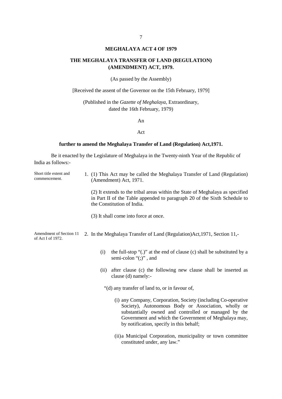#### **MEGHALAYA ACT 4 OF 1979**

#### **THE MEGHALAYA TRANSFER OF LAND (REGULATION) (AMENDMENT) ACT, 1979.**

(As passed by the Assembly)

[Received the assent of the Governor on the 15th February, 1979]

(Published in the *Gazette of Meghalaya*, Extraordinary, dated the 16th February, 1979)

An

#### Act

#### **further to amend the Meghalaya Transfer of Land (Regulation) Act,1971.**

Be it enacted by the Legislature of Meghalaya in the Twenty-ninth Year of the Republic of India as follows:-

Short title extent and commencement. 1. (1) This Act may be called the Meghalaya Transfer of Land (Regulation) (Amendment) Act, 1971.

> (2) It extends to the tribal areas within the State of Meghalaya as specified in Part II of the Table appended to paragraph 20 of the Sixth Schedule to the Constitution of India.

(3) It shall come into force at once.

Amendment of Section 11 of Act I of 1972. 2. In the Meghalaya Transfer of Land (Regulation)Act,1971, Section 11,-

- (i) the full-stop "(.)" at the end of clause (c) shall be substituted by a semi-colon "(;)", and
- (ii) after clause (c) the following new clause shall be inserted as clause (d) namely:-

"(d) any transfer of land to, or in favour of,

- (i) any Company, Corporation, Society (including Co-operative Society), Autonomous Body or Association, wholly or substantially owned and controlled or managed by the Government and which the Government of Meghalaya may, by notification, specify in this behalf;
- (ii)a Municipal Corporation, municipality or town committee constituted under, any law."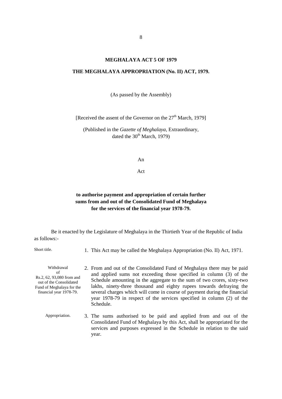#### **MEGHALAYA ACT 5 OF 1979**

#### **THE MEGHALAYA APPROPRIATION (No. II) ACT, 1979.**

(As passed by the Assembly)

[Received the assent of the Governor on the  $27<sup>th</sup>$  March, 1979]

(Published in the *Gazette of Meghalaya*, Extraordinary, dated the  $30<sup>th</sup>$  March, 1979)

An

Act

## **to authorise payment and appropriation of certain further sums from and out of the Consolidated Fund of Meghalaya for the services of the financial year 1978-79.**

Be it enacted by the Legislature of Meghalaya in the Thirtieth Year of the Republic of India as follows:-

Short title. 1. This Act may be called the Meghalaya Appropriation (No. II) Act, 1971.

Withdrawal of Rs.2, 62, 93,080 from and out of the Consolidated Fund of Meghalaya for the financial year 1978-79. 2. From and out of the Consolidated Fund of Meghalaya there may be paid and applied sums not exceeding those specified in column (3) of the Schedule amounting in the aggregate to the sum of two crores, sixty-two lakhs, ninety-three thousand and eighty rupees towards defraying the several charges which will come in course of payment during the financial year 1978-79 in respect of the services specified in column (2) of the Schedule.

Appropriation. 3. The sums authorised to be paid and applied from and out of the Consolidated Fund of Meghalaya by this Act, shall be appropriated for the services and purposes expressed in the Schedule in relation to the said year.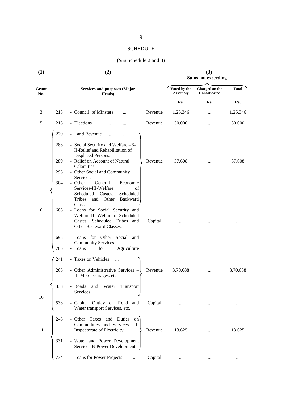## SCHEDULE

## (*See* Schedule 2 and 3)

| (1)          |     | (2)                                                                                                                                                 | (3)<br><b>Sums not exceeding</b> |                                 |                                       |          |
|--------------|-----|-----------------------------------------------------------------------------------------------------------------------------------------------------|----------------------------------|---------------------------------|---------------------------------------|----------|
| Grant<br>No. |     | <b>Services and purposes (Major</b><br>Heads)                                                                                                       |                                  | Voted by the<br><b>Assembly</b> | Charged on the<br><b>Consolidated</b> | Total    |
|              |     |                                                                                                                                                     |                                  | Rs.                             | Rs.                                   | Rs.      |
| 3            | 213 | - Council of Minsters<br>$\ddotsc$                                                                                                                  | Revenue                          | 1,25,346                        |                                       | 1,25,346 |
| 5            | 215 | - Elections                                                                                                                                         | Revenue                          | 30,000                          |                                       | 30,000   |
|              | 229 | - Land Revenue<br><br>$\cdots$                                                                                                                      |                                  |                                 |                                       |          |
|              | 288 | - Social Security and Welfare -B-<br>II-Relief and Rehabilitation of<br>Displaced Persons.                                                          |                                  |                                 |                                       |          |
|              | 289 | - Relief on Account of Natural<br>Calamities.                                                                                                       | Revenue                          | 37,608                          |                                       | 37,608   |
|              | 295 | - Other Social and Community<br>Services.                                                                                                           |                                  |                                 |                                       |          |
|              | 304 | - Other<br>General<br>Economic<br>Services-III-Welfare<br>of<br>Scheduled<br>Castes,<br>Scheduled<br>Tribes<br>Backward<br>Other<br>and<br>Classes. |                                  |                                 |                                       |          |
| 6            | 688 | - Loans for Social Security and<br>Welfare-III-Welfare of Scheduled<br>Castes, Scheduled Tribes<br>and<br>Other Backward Classes.                   | Capital                          |                                 |                                       |          |
|              | 695 | - Loans for Other Social and                                                                                                                        |                                  |                                 |                                       |          |
|              | 705 | Community Services.<br>for<br>Agriculture<br>- Loans                                                                                                |                                  |                                 |                                       |          |
|              | 241 | - Taxes on Vehicles<br>$\dddotsc$                                                                                                                   |                                  |                                 |                                       |          |
|              | 265 | - Other Administrative Services -<br>II-Motor Garages, etc.                                                                                         | Revenue                          | 3,70,688                        | $\cdots$                              | 3,70,688 |
| 10           | 338 | - Roads<br>and<br>Water<br>Transport<br>Services.                                                                                                   |                                  |                                 |                                       |          |
|              | 538 | - Capital Outlay on Road and<br>Water transport Services, etc.                                                                                      | Capital                          |                                 |                                       | $\cdots$ |
| 11           | 245 | - Other Taxes and Duties<br>on<br>Commodities and Services -II-<br>Inspectorate of Electricity.                                                     | Revenue                          | 13,625                          |                                       | 13,625   |
|              | 331 | - Water and Power Development<br>Services-B-Power Development.                                                                                      |                                  |                                 |                                       |          |
|              | 734 | - Loans for Power Projects<br>$\cdots$                                                                                                              | Capital                          |                                 |                                       |          |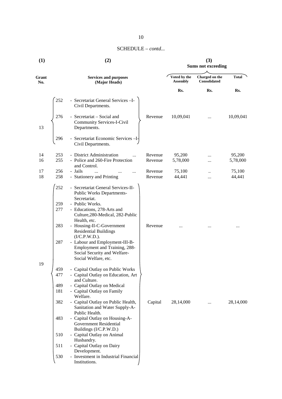| (1)          |                                 | (2)                                                                                                                                                                                                                                                                                                                                                                                           | (3)<br><b>Sums not exceeding</b> |                                 |                                |                    |
|--------------|---------------------------------|-----------------------------------------------------------------------------------------------------------------------------------------------------------------------------------------------------------------------------------------------------------------------------------------------------------------------------------------------------------------------------------------------|----------------------------------|---------------------------------|--------------------------------|--------------------|
| Grant<br>No. |                                 | <b>Services and purposes</b><br>(Major Heads)                                                                                                                                                                                                                                                                                                                                                 |                                  | Voted by the<br><b>Assembly</b> | Charged on the<br>Consolidated | Total              |
|              |                                 |                                                                                                                                                                                                                                                                                                                                                                                               |                                  | Rs.                             | Rs.                            | Rs.                |
|              | 252                             | - Secretariat General Services-I-<br>Civil Departments.                                                                                                                                                                                                                                                                                                                                       |                                  |                                 |                                |                    |
| 13           | 276                             | - Secretariat – Social and<br><b>Community Services-I-Civil</b><br>Departments.                                                                                                                                                                                                                                                                                                               | Revenue                          | 10,09,041                       |                                | 10,09,041          |
|              | 296                             | - Secretariat Economic Services - I-<br>Civil Departments.                                                                                                                                                                                                                                                                                                                                    |                                  |                                 |                                |                    |
| 14<br>16     | 253<br>255                      | - District Administration<br>- Police and 260-Fire Protection<br>and Control.                                                                                                                                                                                                                                                                                                                 | Revenue<br>Revenue               | 95,200<br>5,78,000              | <br>                           | 95,200<br>5,78,000 |
| 17           | 256                             | - Jails<br>$\dddotsc$<br>                                                                                                                                                                                                                                                                                                                                                                     | Revenue                          | 75,100                          |                                | 75,100             |
| 18           | 258                             | - Stationery and Printing                                                                                                                                                                                                                                                                                                                                                                     | Revenue                          | 44,441                          |                                | 44,441             |
|              | 252<br>259<br>277<br>283<br>287 | - Secretariat General Services-II-<br>Public Works Departments-<br>Secretariat.<br>- Public Works.<br>- Educations, 278-Arts and<br>Culture, 280-Medical, 282-Public<br>Health, etc.<br>- Housing-II-C-Government<br><b>Residential Buildings</b><br>(I/C.P.W.D.).<br>- Labour and Employment-III-B-<br>Employment and Training, 288-<br>Social Security and Welfare-<br>Social Welfare, etc. | Revenue                          |                                 |                                |                    |
| 19           | 459<br>477                      | - Capital Outlay on Public Works<br>- Capital Outlay on Education, Art                                                                                                                                                                                                                                                                                                                        |                                  |                                 |                                |                    |
|              | 489<br>181                      | and Culture.<br>- Capital Outlay on Medical<br>- Capital Outlay on Family<br>Welfare.                                                                                                                                                                                                                                                                                                         |                                  |                                 |                                |                    |
|              | 382                             | - Capital Outlay on Public Health,<br>Sanitation and Water Supply-A-<br>Public Health.                                                                                                                                                                                                                                                                                                        | Capital                          | 28,14,000                       |                                | 28,14,000          |
|              | 483                             | - Capital Outlay on Housing-A-<br><b>Government Residential</b><br>Buildings (I/C.P.W.D.)                                                                                                                                                                                                                                                                                                     |                                  |                                 |                                |                    |
|              | 510                             | - Capital Outlay on Animal                                                                                                                                                                                                                                                                                                                                                                    |                                  |                                 |                                |                    |
|              | 511                             | Husbandry.<br>- Capital Outlay on Dairy<br>Development.                                                                                                                                                                                                                                                                                                                                       |                                  |                                 |                                |                    |
|              | 530                             | - Investment in Industrial Financial<br>Institutions.                                                                                                                                                                                                                                                                                                                                         |                                  |                                 |                                |                    |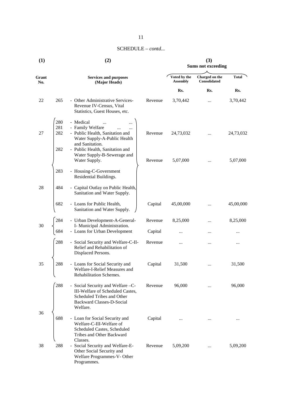| (1)          |                   | (2)                                                                                                                                              | (3)<br><b>Sums not exceeding</b> |                                 |                                |           |
|--------------|-------------------|--------------------------------------------------------------------------------------------------------------------------------------------------|----------------------------------|---------------------------------|--------------------------------|-----------|
| Grant<br>No. |                   | <b>Services and purposes</b><br>(Major Heads)                                                                                                    |                                  | Voted by the<br><b>Assembly</b> | Charged on the<br>Consolidated | Total     |
|              |                   |                                                                                                                                                  |                                  | Rs.                             | Rs.                            | Rs.       |
| 22           | 265               | - Other Administrative Services-<br>Revenue IV-Census, Vital<br>Statistics, Guest Houses, etc.                                                   | Revenue                          | 3,70,442                        |                                | 3,70,442  |
| 27           | 280<br>281<br>282 | - Medical<br>- Family Welfare<br>- Public Health, Sanitation and<br>Water Supply-A-Public Health<br>and Sanitation.                              | Revenue                          | 24,73,032                       |                                | 24,73,032 |
|              | 282               | - Public Health, Sanitation and<br>Water Supply-B-Sewerage and<br>Water Supply.                                                                  | Revenue                          | 5,07,000                        |                                | 5,07,000  |
|              | 283               | - Housing-C-Government<br>Residential Buildings.                                                                                                 |                                  |                                 |                                |           |
| 28           | 484               | - Capital Outlay on Public Health,<br>Sanitation and Water Supply.                                                                               |                                  |                                 |                                |           |
|              | 682               | - Loans for Public Health,<br>Sanitation and Water Supply.                                                                                       | Capital                          | 45,00,000                       |                                | 45,00,000 |
|              | 284               | - Urban Development-A-General-                                                                                                                   | Revenue                          | 8,25,000                        |                                | 8,25,000  |
| 30           | 684               | I- Municipal Administration.<br>- Loans for Urban Development                                                                                    | Capital                          |                                 |                                |           |
|              | 288               | - Social Security and Welfare-C-II-<br>Relief and Rehabilitation of<br>Displaced Persons.                                                        | Revenue                          | $\ddotsc$                       |                                |           |
| 35           | 288               | - Loans for Social Security and<br>Welfare-I-Relief Measures and<br>Rehabilitation Schemes.                                                      | Capital                          | 31,500                          |                                | 31,500    |
|              | 288               | - Social Security and Welfare -C-<br>III-Welfare of Scheduled Castes,<br>Scheduled Tribes and Other<br>Backward Classes-D-Social<br>Welfare.     | Revenue                          | 96,000                          |                                | 96,000    |
| 36           | 688               | - Loan for Social Security and<br>Welfare-C-III-Welfare of<br>Scheduled Castes, Scheduled<br>Tribes and Other Backward                           | Capital                          |                                 |                                |           |
| 38           | 288               | Classes.<br>Social Security and Welfare-E-<br>$\overline{\phantom{a}}$<br>Other Social Security and<br>Welfare Programmes-V-Other<br>Programmes. | Revenue                          | 5,09,200                        |                                | 5,09,200  |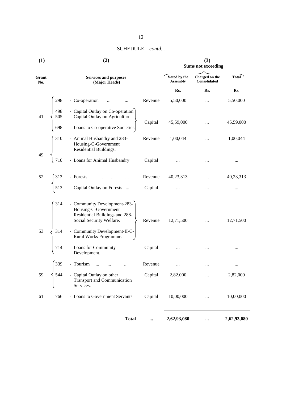| (1)          |            | (2)                                                                                                                | (3)<br><b>Sums not exceeding</b> |                                 |                                |             |
|--------------|------------|--------------------------------------------------------------------------------------------------------------------|----------------------------------|---------------------------------|--------------------------------|-------------|
| Grant<br>No. |            | <b>Services and purposes</b><br>(Major Heads)                                                                      |                                  | Voted by the<br><b>Assembly</b> | Charged on the<br>Consolidated | Total       |
|              |            |                                                                                                                    |                                  | Rs.                             | Rs.                            | Rs.         |
|              | 298        | - Co-operation<br>$\ddotsc$                                                                                        | Revenue                          | 5,50,000                        |                                | 5,50,000    |
| 41           | 498<br>505 | - Capital Outlay on Co-operation<br>- Capital Outlay on Agriculture<br>- Loans to Co-operative Societies.          | Capital                          | 45,59,000                       |                                | 45,59,000   |
|              |            |                                                                                                                    |                                  |                                 |                                |             |
|              | 310        | - Animal Husbandry and 283-<br>Housing-C-Government<br>Housing-C-Governmer<br>Residential Buildings.               | Revenue                          | 1,00,044                        | $\cdots$                       | 1,00,044    |
| 49           | 710        | - Loans for Animal Husbandry                                                                                       | Capital                          |                                 | $\cdots$                       | $\cdots$    |
| 52           | 313        | - Forests                                                                                                          | Revenue                          | 40,23,313                       |                                | 40,23,313   |
|              |            | - Capital Outlay on Forests                                                                                        | Capital                          |                                 | $\cdots$                       |             |
|              | 314        | - Community Development-283-<br>Housing-C-Government<br>Residential Buildings and 288-<br>Social Security Welfare. | Revenue                          | 12,71,500                       |                                | 12,71,500   |
| 53           | 314        | - Community Development-II-C-<br>Rural Works Programme.                                                            |                                  |                                 |                                |             |
|              | 714        | - Loans for Community<br>Development.                                                                              | Capital                          | $\cdots$                        |                                |             |
|              | 339        | - Tourism                                                                                                          | Revenue                          |                                 |                                |             |
| 59           | 544        | - Capital Outlay on other<br><b>Transport and Communication</b><br>Services.                                       | Capital                          | 2,82,000                        |                                | 2,82,000    |
| 61           | 766        | - Loans to Government Servants                                                                                     | Capital                          | 10,00,000                       |                                | 10,00,000   |
|              |            | <b>Total</b>                                                                                                       |                                  | 2,62,93,080                     |                                | 2,62,93,080 |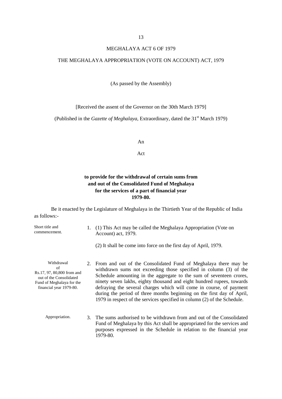#### MEGHALAYA ACT 6 OF 1979

### THE MEGHALAYA APPROPRIATION (VOTE ON ACCOUNT) ACT, 1979

(As passed by the Assembly)

[Received the assent of the Governor on the 30th March 1979]

(Published in the *Gazette of Meghalaya*, Extraordinary, dated the 31<sup>st</sup> March 1979)

An

Act

## **to provide for the withdrawal of certain sums from and out of the Consolidated Fund of Meghalaya for the services of a part of financial year 1979-80.**

Be it enacted by the Legislature of Meghalaya in the Thirtieth Year of the Republic of India as follows:-

| Short title and<br>commencement.                                                                                                  | 1. (1) This Act may be called the Meghalaya Appropriation (Vote on<br>Account) act, 1979.<br>(2) It shall be come into force on the first day of April, 1979.                                                                                                                                                                                                                                                                                                                                                        |  |  |  |  |
|-----------------------------------------------------------------------------------------------------------------------------------|----------------------------------------------------------------------------------------------------------------------------------------------------------------------------------------------------------------------------------------------------------------------------------------------------------------------------------------------------------------------------------------------------------------------------------------------------------------------------------------------------------------------|--|--|--|--|
|                                                                                                                                   |                                                                                                                                                                                                                                                                                                                                                                                                                                                                                                                      |  |  |  |  |
| Withdrawal<br>of<br>Rs.17, 97, 80,800 from and<br>out of the Consolidated<br>Fund of Meghalaya for the<br>financial year 1979-80. | 2. From and out of the Consolidated Fund of Meghalaya there may be<br>withdrawn sums not exceeding those specified in column (3) of the<br>Schedule amounting in the aggregate to the sum of seventeen crores,<br>ninety seven lakhs, eighty thousand and eight hundred rupees, towards<br>defraying the several charges which will come in course, of payment<br>during the period of three months beginning on the first day of April,<br>1979 in respect of the services specified in column (2) of the Schedule. |  |  |  |  |
| Appropriation.                                                                                                                    | 3. The sums authorised to be withdrawn from and out of the Consolidated<br>Fund of Meghalaya by this Act shall be appropriated for the services and<br>purposes expressed in the Schedule in relation to the financial year<br>1979-80.                                                                                                                                                                                                                                                                              |  |  |  |  |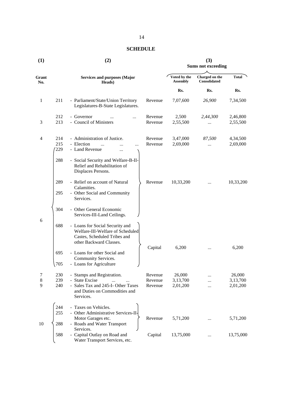## **SCHEDULE**

| (1)          |            | (2)                                                                                                                            | (3)<br><b>Sums not exceeding</b>                                                         |                      |               |                      |
|--------------|------------|--------------------------------------------------------------------------------------------------------------------------------|------------------------------------------------------------------------------------------|----------------------|---------------|----------------------|
| Grant<br>No. |            | <b>Services and purposes (Major</b><br>Heads)                                                                                  | Voted by the<br>Charged on the<br><b>Total</b><br><b>Consolidated</b><br><b>Assembly</b> |                      |               |                      |
|              |            |                                                                                                                                |                                                                                          | Rs.                  | Rs.           | Rs.                  |
| $\mathbf{1}$ | 211        | - Parliament/State/Union Territory<br>Legislatures-B-State Legislatures.                                                       | Revenue                                                                                  | 7,07,600             | 26,900        | 7,34,500             |
|              | 212        | - Governor<br>$\cdots$                                                                                                         | Revenue                                                                                  | 2,500                | 2,44,300      | 2,46,800             |
| 3            | 213        | - Council of Ministers                                                                                                         | Revenue                                                                                  | 2,55,500             |               | 2,55,500             |
| 4            | 214        | - Administration of Justice.                                                                                                   | Revenue                                                                                  | 3,47,000             | 87,500        | 4,34,500             |
|              | 215<br>229 | - Election<br>- Land Revenue<br>                                                                                               | Revenue                                                                                  | 2,69,000             |               | 2,69,000             |
|              | 288        | - Social Security and Welfare-B-II-<br>Relief and Rehabilitation of<br>Displaces Persons.                                      |                                                                                          |                      |               |                      |
|              | 289        | - Relief on account of Natural<br>Calamities.                                                                                  | Revenue                                                                                  | 10,33,200            | $\cdots$      | 10,33,200            |
|              | 295        | - Other Social and Community<br>Services.                                                                                      |                                                                                          |                      |               |                      |
|              | 304        | - Other General Economic<br>Services-III-Land Ceilings.                                                                        |                                                                                          |                      |               |                      |
| 6            | 688        | - Loans for Social Security and<br>Welfare-III-Welfare of Scheduled<br>Castes, Scheduled Tribes and<br>other Backward Classes. |                                                                                          | 6,200                |               | 6,200                |
|              | 695<br>705 | - Loans for other Social and<br>Community Services.<br>- Loans for Agriculture                                                 | Capital                                                                                  |                      | $\cdots$      |                      |
| 7            | 230        | - Stamps and Registration.                                                                                                     | Revenue                                                                                  | 26,000               |               | 26,000               |
| 8<br>9       | 239<br>240 | <b>State Excise</b><br>Sales Tax and 245-I-Other Taxes<br>and Duties on Commodities and<br>Services.                           | Revenue<br>Revenue                                                                       | 3,13,700<br>2,01,200 | $\ddotsc$<br> | 3,13,700<br>2,01,200 |
|              | 244<br>255 | - Taxes on Vehicles.<br>- Other Administrative Services-II-                                                                    |                                                                                          |                      |               |                      |
| 10           | 288        | Motor Garages etc.<br>- Roads and Water Transport                                                                              | Revenue                                                                                  | 5,71,200             |               | 5,71,200             |
|              | 588        | Services.<br>- Capital Outlay on Road and<br>Water Transport Services, etc.                                                    | Capital                                                                                  | 13,75,000            |               | 13,75,000            |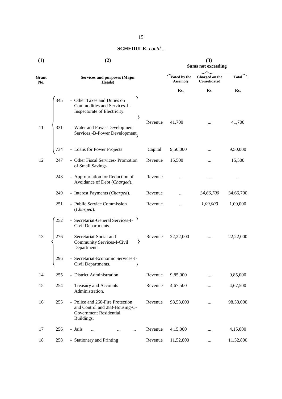| (1)          |     | (2)                                                                                                        | (3)<br><b>Sums not exceeding</b> |                                       |              |           |
|--------------|-----|------------------------------------------------------------------------------------------------------------|----------------------------------|---------------------------------------|--------------|-----------|
| Grant<br>No. |     | <b>Services and purposes (Major</b><br>Heads)                                                              | Voted by the<br><b>Assembly</b>  | Charged on the<br><b>Consolidated</b> | <b>Total</b> |           |
|              |     |                                                                                                            |                                  | Rs.                                   | Rs.          | Rs.       |
|              | 345 | - Other Taxes and Duties on<br>Commodities and Services-II-<br>Inspectorate of Electricity.                |                                  |                                       |              |           |
| 11           | 331 | - Water and Power Development<br>Services -B-Power Development.                                            | Revenue                          | 41,700                                |              | 41,700    |
|              | 734 | - Loans for Power Projects                                                                                 | Capital                          | 9,50,000                              |              | 9,50,000  |
| 12           | 247 | - Other Fiscal Services- Promotion<br>of Small Savings.                                                    | Revenue                          | 15,500                                |              | 15,500    |
|              | 248 | - Appropriation for Reduction of<br>Avoidance of Debt (Charged).                                           | Revenue                          |                                       |              |           |
|              | 249 | - Interest Payments (Charged).                                                                             | Revenue                          |                                       | 34,66,700    | 34,66,700 |
|              | 251 | - Public Service Commission<br>(Charged).                                                                  | Revenue                          | $\ddotsc$                             | 1,09,000     | 1,09,000  |
|              | 252 | - Secretariat-General Services-I-<br>Civil Departments.                                                    |                                  |                                       |              |           |
| 13           | 276 | - Secretariat-Social and<br><b>Community Services-I-Civil</b><br>Departments.                              | Revenue                          | 22,22,000                             |              | 22,22,000 |
|              | 296 | - Secretariat-Economic Services-I-<br>Civil Departments.                                                   |                                  |                                       |              |           |
| 14           | 255 | - District Administration                                                                                  | Revenue                          | 9,85,000                              |              | 9,85,000  |
| 15           | 254 | - Treasury and Accounts<br>Administration.                                                                 | Revenue                          | 4,67,500                              | $\cdots$     | 4,67,500  |
| 16           | 255 | - Police and 260-Fire Protection<br>and Control and 283-Housing-C-<br>Government Residential<br>Buildings. | Revenue                          | 98,53,000                             |              | 98,53,000 |
| 17           | 256 | - Jails<br>$\ddotsc$<br>$\cdots$<br>$\cdots$                                                               | Revenue                          | 4,15,000                              |              | 4,15,000  |
| 18           | 258 | - Stationery and Printing                                                                                  | Revenue                          | 11,52,800                             | $\cdots$     | 11,52,800 |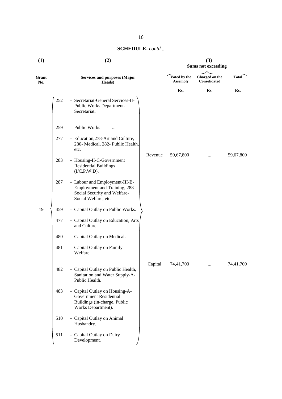| (1)          | (2)                                                                                                                            | (3)<br><b>Sums not exceeding</b> |                                |           |  |
|--------------|--------------------------------------------------------------------------------------------------------------------------------|----------------------------------|--------------------------------|-----------|--|
| Grant<br>No. | <b>Services and purposes (Major</b><br>Heads)                                                                                  | Voted by the<br><b>Assembly</b>  | Charged on the<br>Consolidated | Total     |  |
|              |                                                                                                                                | Rs.                              | Rs.                            | Rs.       |  |
|              | 252<br>- Secretariat-General Services-II-<br>Public Works Department-<br>Secretariat.                                          |                                  |                                |           |  |
|              | - Public Works<br>259<br>$\cdots$                                                                                              |                                  |                                |           |  |
|              | 277<br>- Education, 278-Art and Culture,<br>280- Medical, 282- Public Health,<br>etc.                                          |                                  |                                |           |  |
|              | Revenue<br>283<br>- Housing-II-C-Government<br><b>Residential Buildings</b><br>(I/C.P.W.D).                                    | 59,67,800                        | $\cdots$                       | 59,67,800 |  |
|              | - Labour and Employment-III-B-<br>287<br>Employment and Training, 288-<br>Social Security and Welfare-<br>Social Welfare, etc. |                                  |                                |           |  |
| 19           | - Capital Outlay on Public Works.<br>459                                                                                       |                                  |                                |           |  |
|              | - Capital Outlay on Education, Arts<br>477<br>and Culture.                                                                     |                                  |                                |           |  |
|              | 480<br>- Capital Outlay on Medical.                                                                                            |                                  |                                |           |  |
|              | - Capital Outlay on Family<br>481<br>Welfare.                                                                                  |                                  |                                |           |  |
|              | Capital<br>482<br>Capital Outlay on Public Health,<br>Sanitation and Water Supply-A-<br>Public Health.                         | 74,41,700                        | $\cdots$                       | 74,41,700 |  |
|              | 483<br>- Capital Outlay on Housing-A-<br><b>Government Residential</b><br>Buildings (in-charge, Public<br>Works Department).   |                                  |                                |           |  |
|              | 510<br>- Capital Outlay on Animal<br>Husbandry.                                                                                |                                  |                                |           |  |
|              | 511<br>- Capital Outlay on Dairy<br>Development.                                                                               |                                  |                                |           |  |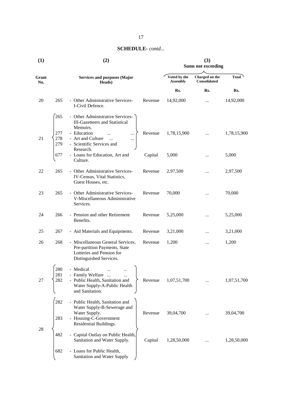| (1)          |                   | (2)                                                                                                                                 | (3)<br><b>Sums not exceeding</b> |                                 |                                       |             |
|--------------|-------------------|-------------------------------------------------------------------------------------------------------------------------------------|----------------------------------|---------------------------------|---------------------------------------|-------------|
| Grant<br>No. |                   | <b>Services and purposes (Major</b><br>Heads)                                                                                       |                                  | Voted by the<br><b>Assembly</b> | Charged on the<br><b>Consolidated</b> | Total       |
|              |                   |                                                                                                                                     |                                  | Rs.                             | Rs.                                   | Rs.         |
| 20           | 265               | - Other Administrative Services-<br>I-Civil Defence.                                                                                | Revenue                          | 14,92,000                       | $\cdots$                              | 14,92,000   |
|              | 265               | - Other Administrative Services-<br><b>III-Gazetteers and Statistical</b><br>Memoirs.                                               |                                  |                                 |                                       |             |
| 21           | 277<br>278<br>279 | - Education<br>$\ddotsc$<br>$\cdots$<br>- Art and Culture<br>$\ddotsc$<br>$\cdots$<br>- Scientific Services and                     | Revenue                          | 1,78,15,900                     | $\cdots$                              | 1,78,15,900 |
|              | 677               | Research.<br>- Loans for Education, Art and<br>Culture.                                                                             | Capital                          | 5,000                           |                                       | 5,000       |
| 22           | 265               | - Other Administrative Services-<br>IV-Census, Vital Statistics,<br>Guest Houses, etc.                                              | Revenue                          | 2,97,500                        |                                       | 2,97,500    |
| 23           | 265               | - Other Administrative Services-<br>V-Miscellaneous Administrative<br>Services.                                                     | Revenue                          | 70,000                          |                                       | 70,000      |
| 24           | 266               | - Pension and other Retirement<br>Benefits.                                                                                         | Revenue                          | 5,25,000                        |                                       | 5,25,000    |
| 25           | 267               | - Aid Materials and Equipments.                                                                                                     | Revenue                          | 3,21,000                        |                                       | 3,21,000    |
| 26           | 268               | - Miscellaneous General Services,<br>Pre-partition Payments, State<br>Lotteries and Pension for<br>Distinguished Services.          | Revenue                          | 1,200                           | $\cdots$                              | 1,200       |
| 27           | 280<br>281<br>282 | Medical<br>- Family Welfare<br>$\cdots$<br>- Public Health, Sanitation and<br>Water Supply-A-Public Health<br>and Sanitation.       | Revenue                          | 1,07,51,700                     |                                       | 1,07,51,700 |
|              | 282<br>283        | - Public Health, Sanitation and<br>Water Supply-B-Sewerage and<br>Water Supply.<br>- Housing-C-Government<br>Residential Buildings. | Revenue                          | 39,04,700                       |                                       | 39,04,700   |
| 28           | 482               | - Capital Outlay on Public Health,<br>Sanitation and Water Supply.                                                                  | Capital                          | 1,28,50,000                     |                                       | 1,28,50,000 |
|              | 682               | - Loans for Public Health,<br>Sanitation and Water Supply                                                                           |                                  |                                 |                                       |             |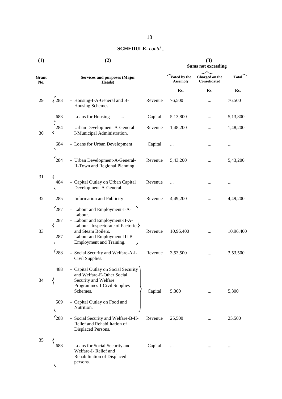| (1)          |                   | (2)                                                                                                                                                                                                | (3)<br><b>Sums not exceeding</b> |                                 |                                |              |
|--------------|-------------------|----------------------------------------------------------------------------------------------------------------------------------------------------------------------------------------------------|----------------------------------|---------------------------------|--------------------------------|--------------|
| Grant<br>No. |                   | <b>Services and purposes (Major</b><br>Heads)                                                                                                                                                      |                                  | Voted by the<br><b>Assembly</b> | Charged on the<br>Consolidated | <b>Total</b> |
|              |                   |                                                                                                                                                                                                    |                                  | Rs.                             | Rs.                            | Rs.          |
| 29           | 283               | - Housing-I-A-General and B-<br>Housing Schemes.                                                                                                                                                   | Revenue                          | 76,500                          |                                | 76,500       |
|              | 683               | - Loans for Housing                                                                                                                                                                                | Capital                          | 5,13,800                        |                                | 5,13,800     |
| 30           | 284               | - Urban Development-A-General-<br>I-Municipal Administration.                                                                                                                                      | Revenue                          | 1,48,200                        |                                | 1,48,200     |
|              | 684               | - Loans for Urban Development                                                                                                                                                                      | Capital                          |                                 |                                |              |
|              | 284               | - Urban Development-A-General-<br>II-Town and Regional Planning.                                                                                                                                   | Revenue                          | 5,43,200                        |                                | 5,43,200     |
| 31           | 484               | - Capital Outlay on Urban Capital<br>Development-A-General.                                                                                                                                        | Revenue                          | $\cdots$                        |                                |              |
| 32           | 285               | - Information and Publicity                                                                                                                                                                        | Revenue                          | 4,49,200                        |                                | 4,49,200     |
| 33           | 287<br>287<br>287 | - Labour and Employment-I-A-<br>Labour.<br>- Labour and Employment-II-A-<br>Labour – Inspectorate of Factories<br>and Steam Boilers.<br>- Labour and Employment-III-B-<br>Employment and Training. | Revenue                          | 10,96,400                       |                                | 10,96,400    |
|              | 288               | - Social Security and Welfare-A-I-<br>Civil Supplies.                                                                                                                                              | Revenue                          | 3,53,500                        |                                | 3,53,500     |
| 34           | 488               | - Capital Outlay on Social Security  <br>and Welfare-E-Other Social<br>Security and Welfare<br>Programmes-I-Civil Supplies<br>Schemes.                                                             | Capital                          | 5,300                           |                                | 5,300        |
|              | 509               | - Capital Outlay on Food and<br>Nutrition.                                                                                                                                                         |                                  |                                 |                                |              |
|              | 288               | - Social Security and Welfare-B-II-<br>Relief and Rehabilitation of<br>Displaced Persons.                                                                                                          | Revenue                          | 25,500                          |                                | 25,500       |
| 35           | 688               | - Loans for Social Security and<br>Welfare-I-Relief and<br>Rehabilitation of Displaced<br>persons.                                                                                                 | Capital                          | $\ddots$                        |                                |              |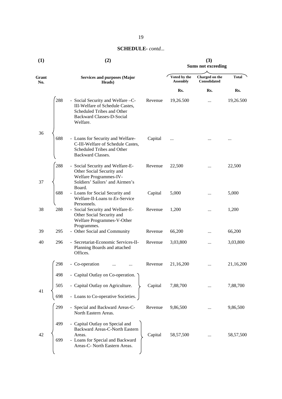| (1)          |     | (2)                                                                                                                                         | (3)<br><b>Sums not exceeding</b> |                                 |                                |           |
|--------------|-----|---------------------------------------------------------------------------------------------------------------------------------------------|----------------------------------|---------------------------------|--------------------------------|-----------|
|              |     |                                                                                                                                             |                                  |                                 |                                |           |
| Grant<br>No. |     | <b>Services and purposes (Major</b><br>Heads)                                                                                               |                                  | Voted by the<br><b>Assembly</b> | Charged on the<br>Consolidated | Total     |
|              |     |                                                                                                                                             |                                  | Rs.                             | Rs.                            | Rs.       |
|              | 288 | - Social Security and Welfare -C-<br>III-Welfare of Schedule Castes,<br>Scheduled Tribes and Other<br>Backward Classes-D-Social<br>Welfare. | Revenue                          | 19,26.500                       | $\cdots$                       | 19,26.500 |
| 36           | 688 | - Loans for Security and Welfare-<br>C-III-Welfare of Schedule Castes,<br>Scheduled Tribes and Other<br>Backward Classes.                   | Capital                          | $\cdots$                        |                                |           |
| 37           | 288 | - Social Security and Welfare-E-<br>Other Social Security and<br>Welfare Programmes-IV-<br>Soldiers' Sailors' and Airmen's<br>Board.        | Revenue                          | 22,500                          |                                | 22,500    |
|              | 688 | - Loans for Social Security and<br>Welfare-II-Loans to Ex-Service<br>Personnels.                                                            | Capital                          | 5,000                           |                                | 5,000     |
| 38           | 288 | - Social Security and Welfare-E-<br>Other Social Security and<br>Welfare Programmes-V-Other<br>Programmes.                                  | Revenue                          | 1,200                           |                                | 1,200     |
| 39           | 295 | - Other Social and Community                                                                                                                | Revenue                          | 66,200                          |                                | 66,200    |
| 40           | 296 | - Secretariat-Economic Services-II-<br>Planning Boards and attached<br>Offices.                                                             | Revenue                          | 3,03,800                        |                                | 3,03,800  |
|              | 298 | - Co-operation                                                                                                                              | Revenue                          | 21,16,200                       |                                | 21,16,200 |
|              | 498 | - Capital Outlay on Co-operation.                                                                                                           |                                  |                                 |                                |           |
| 41           | 505 | - Capital Outlay on Agriculture.                                                                                                            | Capital                          | 7,88,700                        |                                | 7,88,700  |
|              | 698 | - Loans to Co-operative Societies.                                                                                                          |                                  |                                 |                                |           |
|              | 299 | - Special and Backward Areas-C-<br>North Eastern Areas.                                                                                     | Revenue                          | 9,86,500                        |                                | 9,86,500  |
| 42           | 499 | - Capital Outlay on Special and<br><b>Backward Areas-C-North Eastern</b><br>Areas.                                                          | Capital                          | 58,57,500                       |                                | 58,57,500 |
|              | 699 | - Loans for Special and Backward<br>Areas-C- North Eastern Areas.                                                                           |                                  |                                 |                                |           |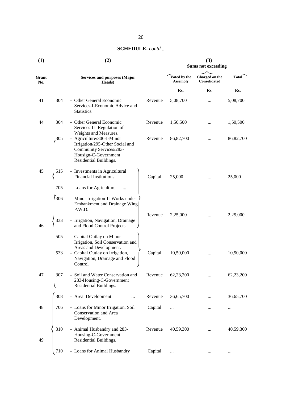| (1)          |            | (2)                                                                                                                                                                      | (3)<br><b>Sums not exceeding</b> |                                 |                                |              |  |
|--------------|------------|--------------------------------------------------------------------------------------------------------------------------------------------------------------------------|----------------------------------|---------------------------------|--------------------------------|--------------|--|
| Grant<br>No. |            | <b>Services and purposes (Major</b><br>Heads)                                                                                                                            |                                  | Voted by the<br><b>Assembly</b> | Charged on the<br>Consolidated | <b>Total</b> |  |
|              |            |                                                                                                                                                                          |                                  | Rs.                             | Rs.                            | Rs.          |  |
| 41           | 304        | - Other General Economic<br>Services-I-Economic Advice and<br>Statistics.                                                                                                | Revenue                          | 5,08,700                        |                                | 5,08,700     |  |
| 44           | 304        | - Other General Economic<br>Services-II- Regulation of<br>Weights and Measures.                                                                                          | Revenue                          | 1,50,500                        |                                | 1,50,500     |  |
|              | 305        | - Agriculture/306-I-Minor<br>Irrigation/295-Other Social and<br>Community Services/283-<br>Housign-C-Government<br>Residential Buildings.                                | Revenue                          | 86,82,700                       |                                | 86, 82, 700  |  |
| 45           | 515        | - Investments in Agricultural<br>Financial Institutions.                                                                                                                 | Capital                          | 25,000                          |                                | 25,000       |  |
|              | 705        | - Loans for Agriculture                                                                                                                                                  |                                  |                                 |                                |              |  |
|              | 306        | - Minor Irrigation-II-Works under<br>Embankment and Drainage Wing<br>P.W.D.                                                                                              |                                  |                                 |                                |              |  |
| 46           | 333        | - Irrigation, Navigation, Drainage<br>and Flood Control Projects.                                                                                                        | Revenue                          | 2,25,000                        |                                | 2,25,000     |  |
|              | 505<br>533 | - Capital Outlay on Minor<br>Irrigation, Soil Conservation and<br>Areas and Development.<br>- Capital Outlay on Irrigation,<br>Navigation, Drainage and Flood<br>Control | Capital                          | 10,50,000                       |                                | 10,50,000    |  |
| 47           | 307        | - Soil and Water Conservation and<br>283-Housing-C-Government<br>Residential Buildings.                                                                                  | Revenue                          | 62,23,200                       |                                | 62,23,200    |  |
|              | 308        | - Area Development                                                                                                                                                       | Revenue                          | 36,65,700                       |                                | 36,65,700    |  |
| 48           | 706        | - Loans for Minor Irrigation, Soil<br>Conservation and Area<br>Development.                                                                                              | Capital                          |                                 |                                | $\cdots$     |  |
| 49           | 310        | - Animal Husbandry and 283-<br>Housing-C-Government<br>Residential Buildings.                                                                                            | Revenue                          | 40,59,300                       |                                | 40,59,300    |  |
|              | 710        | - Loans for Animal Husbandry                                                                                                                                             | Capital                          | $\cdots$                        |                                |              |  |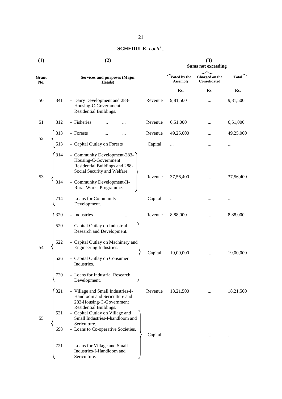| (1)          |                                           | (2)                                                                                                                                                                             | (3)<br><b>Sums not exceeding</b> |                                |          |           |
|--------------|-------------------------------------------|---------------------------------------------------------------------------------------------------------------------------------------------------------------------------------|----------------------------------|--------------------------------|----------|-----------|
| Grant<br>No. |                                           |                                                                                                                                                                                 |                                  |                                |          |           |
|              |                                           | <b>Services and purposes (Major</b><br>Heads)                                                                                                                                   | Voted by the<br><b>Assembly</b>  | Charged on the<br>Consolidated | Total    |           |
|              |                                           |                                                                                                                                                                                 |                                  | Rs.                            | Rs.      | Rs.       |
| 50           | 341                                       | - Dairy Development and 283-<br>Housing-C-Government<br>Residential Buildings.                                                                                                  | Revenue                          | 9,81,500                       |          | 9,81,500  |
| 51           | 312                                       | - Fisheries                                                                                                                                                                     | Revenue                          | 6,51,000                       |          | 6,51,000  |
| 52           | 313                                       | - Forests                                                                                                                                                                       | Revenue                          | 49,25,000                      |          | 49,25,000 |
|              | 513                                       | - Capital Outlay on Forests                                                                                                                                                     | Capital                          |                                | .        |           |
| 53           | 314<br>314                                | - Community Development-283-<br>Housing-C-Government<br>Residential Buildings and 288-<br>Social Security and Welfare.<br>- Community Development-II-<br>Rural Works Programme. | Revenue                          | 37,56,400                      | $\cdots$ | 37,56,400 |
|              | 714                                       | - Loans for Community<br>Development.                                                                                                                                           | Capital                          |                                |          |           |
|              | 320                                       | - Industries                                                                                                                                                                    | Revenue                          | 8,88,000                       |          | 8,88,000  |
|              | 520                                       | - Capital Outlay on Industrial<br>Research and Development.                                                                                                                     |                                  |                                |          |           |
| 54           | 522                                       | - Capital Outlay on Machinery and<br>Engineering Industries.                                                                                                                    | Capital                          | 19,00,000                      |          | 19,00,000 |
|              | 526                                       | - Capital Outlay on Consumer<br>Industries.                                                                                                                                     |                                  |                                |          |           |
|              | 720                                       | - Loans for Industrial Research<br>Development.                                                                                                                                 |                                  |                                |          |           |
|              | 321                                       | - Village and Small Industries-I-<br>Handloom and Sericulture and<br>283-Housing-C-Government<br>Residential Buildings.                                                         | Revenue                          | 18,21,500                      |          | 18,21,500 |
| 55           | 521                                       | - Capital Outlay on Village and<br>Small Industries-I-handloom and<br>Sericulture.                                                                                              |                                  |                                |          |           |
|              | 698<br>- Loans to Co-operative Societies. |                                                                                                                                                                                 | Capital                          | $\cdots$                       |          |           |
|              | 721                                       | - Loans for Village and Small<br>Industries-I-Handloom and<br>Sericulture.                                                                                                      |                                  |                                |          |           |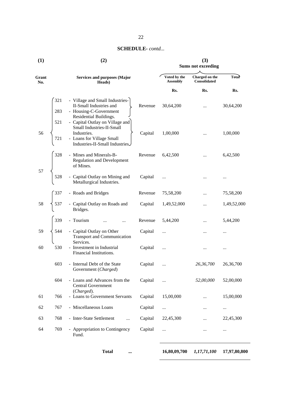| (1)          |            | (2)                                                                                                                                        | (3)<br><b>Sums not exceeding</b> |                                       |             |              |
|--------------|------------|--------------------------------------------------------------------------------------------------------------------------------------------|----------------------------------|---------------------------------------|-------------|--------------|
| Grant<br>No. |            | <b>Services and purposes (Major</b><br>Heads)                                                                                              | Voted by the<br><b>Assembly</b>  | Charged on the<br><b>Consolidated</b> | Total       |              |
|              |            |                                                                                                                                            |                                  | Rs.                                   | Rs.         | Rs.          |
|              | 321<br>283 | - Village and Small Industries-<br>II-Small Industries and<br>- Housing-C-Government<br>Residential Buildings.                             | Revenue                          | 30,64,200                             |             | 30,64,200    |
| 56           | 521<br>721 | - Capital Outlay on Village and<br>Small Industries-II-Small<br>Industries.<br>- Loans for Village Small<br>Industries-II-Small Industries | Capital                          | 1,00,000                              |             | 1,00,000     |
|              | 328        | - Mines and Minerals-B-<br><b>Regulation and Development</b><br>of Mines.                                                                  | Revenue                          | 6,42,500                              |             | 6,42,500     |
| 57           | 528        | - Capital Outlay on Mining and<br>Metallurgical Industries.                                                                                | Capital                          | $\cdots$                              |             |              |
|              | 337        | - Roads and Bridges                                                                                                                        | Revenue                          | 75,58,200                             |             | 75,58,200    |
| 58           | 537        | - Capital Outlay on Roads and<br>Bridges.                                                                                                  | Capital                          | 1,49,52,000                           | .           | 1,49,52,000  |
|              | 339        | - Tourism                                                                                                                                  | Revenue                          | 5,44,200                              |             | 5,44,200     |
| 59           | 544        | - Capital Outlay on Other<br><b>Transport and Communication</b>                                                                            | Capital                          | $\cdots$                              |             |              |
| 60           | 530        | Services.<br>- Investment in Industrial<br>Financial Institutions.                                                                         | Capital                          | $\cdots$                              |             |              |
|              | 603        | - Internal Debt of the State<br>Government (Charged)                                                                                       | Capital                          | $\cdots$                              | 26,36,700   | 26,36,700    |
|              | 604        | - Loans and Advances from the<br><b>Central Government</b>                                                                                 | Capital                          | $\cdots$                              | 52,00,000   | 52,00,000    |
| 61           | 766        | (Charged).<br>- Loans to Government Servants                                                                                               | Capital                          | 15,00,000                             |             | 15,00,000    |
| 62           | 767        | - Miscellaneous Loans                                                                                                                      | Capital                          | $\ldots$                              |             | $\cdots$     |
| 63           | 768        | - Inter-State Settlement<br>$\cdots$                                                                                                       | Capital                          | 22,45,300                             | .           | 22,45,300    |
| 64           | 769        | - Appropriation to Contingency<br>Fund.                                                                                                    | Capital                          | $\cdots$                              | $\cdots$    | $\ldots$     |
|              |            | <b>Total</b><br>                                                                                                                           |                                  | 16,80,09,700                          | 1,17,71,100 | 17,97,80,800 |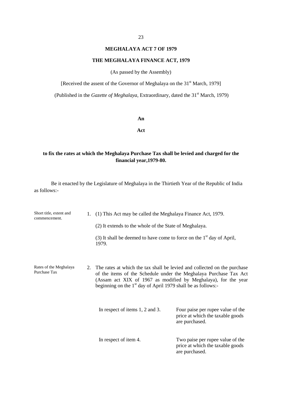#### 23

## **MEGHALAYA ACT 7 OF 1979**

#### **THE MEGHALAYA FINANCE ACT, 1979**

(As passed by the Assembly)

[Received the assent of the Governor of Meghalaya on the 31<sup>st</sup> March, 1979]

(Published in the *Gazette of Meghalaya*, Extraordinary, dated the 31<sup>st</sup> March, 1979)

#### **An**

**Act**

## **to fix the rates at which the Meghalaya Purchase Tax shall be levied and charged for the financial year,1979-80.**

Be it enacted by the Legislature of Meghalaya in the Thirtieth Year of the Republic of India as follows:-

| Short title, extent and<br>commencement. | 1. (1) This Act may be called the Meghalaya Finance Act, 1979.<br>(2) It extends to the whole of the State of Meghalaya. |                                                                                                                                                                                                                    |  |  |
|------------------------------------------|--------------------------------------------------------------------------------------------------------------------------|--------------------------------------------------------------------------------------------------------------------------------------------------------------------------------------------------------------------|--|--|
|                                          | (3) It shall be deemed to have come to force on the $1st$ day of April,<br>1979.                                         |                                                                                                                                                                                                                    |  |  |
| Rates of the Meghalaya<br>Purchase Tax   | beginning on the $1st$ day of April 1979 shall be as follows:-                                                           | 2. The rates at which the tax shall be levied and collected on the purchase<br>of the items of the Schedule under the Meghalaya Purchase Tax Act<br>(Assam act XIX of 1967 as modified by Meghalaya), for the year |  |  |
|                                          | In respect of items 1, 2 and 3.                                                                                          | Four paise per rupee value of the<br>price at which the taxable goods<br>are purchased.                                                                                                                            |  |  |
|                                          | In respect of item 4.                                                                                                    | Two paise per rupee value of the<br>price at which the taxable goods<br>are purchased.                                                                                                                             |  |  |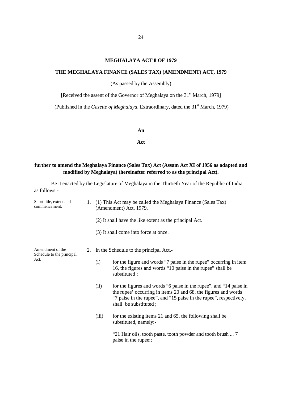## **MEGHALAYA ACT 8 OF 1979**

#### **THE MEGHALAYA FINANCE (SALES TAX) (AMENDMENT) ACT, 1979**

(As passed by the Assembly)

[Received the assent of the Governor of Meghalaya on the 31<sup>st</sup> March, 1979]

(Published in the *Gazette of Meghalaya*, Extraordinary, dated the 31<sup>st</sup> March, 1979)

#### **An**

#### **Act**

## **further to amend the Meghalaya Finance (Sales Tax) Act (Assam Act XI of 1956 as adapted and modified by Meghalaya) (hereinafter referred to as the principal Act).**

Be it enacted by the Legislature of Meghalaya in the Thirtieth Year of the Republic of India as follows:-

| Short title, extent and<br>commencement.      |                                                         | (1) This Act may be called the Meghalaya Finance (Sales Tax)<br>(Amendment) Act, 1979.                                                                                                                                              |  |  |
|-----------------------------------------------|---------------------------------------------------------|-------------------------------------------------------------------------------------------------------------------------------------------------------------------------------------------------------------------------------------|--|--|
|                                               | (2) It shall have the like extent as the principal Act. |                                                                                                                                                                                                                                     |  |  |
|                                               |                                                         | (3) It shall come into force at once.                                                                                                                                                                                               |  |  |
| Amendment of the<br>Schedule to the principal |                                                         | 2. In the Schedule to the principal Act,-                                                                                                                                                                                           |  |  |
| Act.                                          | (i)                                                     | for the figure and words "7 paise in the rupee" occurring in item<br>16, the figures and words "10 paise in the rupee" shall be<br>substituted;                                                                                     |  |  |
|                                               | (ii)                                                    | for the figures and words "6 paise in the rupee", and "14 paise in<br>the rupee' occurring in items 20 and 68, the figures and words<br>"7 paise in the rupee", and "15 paise in the rupee", respectively,<br>shall be substituted; |  |  |
|                                               | (iii)                                                   | for the existing items 21 and 65, the following shall be<br>substituted, namely:-                                                                                                                                                   |  |  |
|                                               |                                                         | "21 Hair oils, tooth paste, tooth powder and tooth brush  7<br>paise in the rupee:;                                                                                                                                                 |  |  |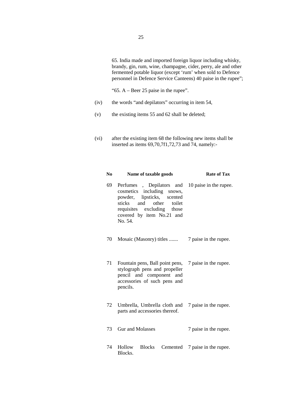65. India made and imported foreign liquor including whisky, brandy, gin, rum, wine, champagne, cider, perry, ale and other fermented potable liquor (except 'rum' when sold to Defence personnel in Defence Service Canteens) 40 paise in the rupee";

"65. A – Beer 25 paise in the rupee".

- (iv) the words "and depilators" occurring in item 54,
- (v) the existing items 55 and 62 shall be deleted;
- (vi) after the existing item 68 the following new items shall be inserted as items 69,70,7f1,72,73 and 74, namely:-

| No | Name of taxable goods                                                                                                                                                             | <b>Rate of Tax</b>                      |  |  |
|----|-----------------------------------------------------------------------------------------------------------------------------------------------------------------------------------|-----------------------------------------|--|--|
| 69 | Perfumes<br>cosmetics including snows,<br>powder, lipsticks,<br>scented<br>and<br>other<br>toilet<br>sticks<br>requisites excluding those<br>covered by item No.21 and<br>No. 54. | , Depilators and 10 paise in the rupee. |  |  |
| 70 | Mosaic (Masonry) titles  7 paise in the rupee.                                                                                                                                    |                                         |  |  |
| 71 | Fountain pens, Ball point pens, 7 paise in the rupee.<br>stylograph pens and propeller<br>pencil and component and<br>accessories of such pens and<br>pencils.                    |                                         |  |  |
| 72 | Umbrella, Umbrella cloth and 7 paise in the rupee.<br>parts and accessories thereof.                                                                                              |                                         |  |  |
| 73 | <b>Gur and Molasses</b>                                                                                                                                                           | 7 paise in the rupee.                   |  |  |
| 74 | Hollow<br><b>Blocks</b><br>Blocks.                                                                                                                                                | Cemented 7 paise in the rupee.          |  |  |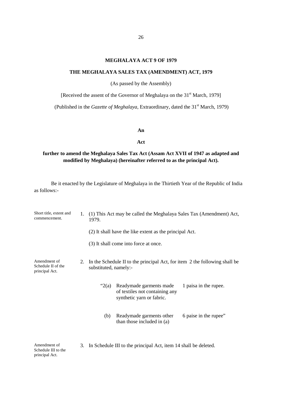## **MEGHALAYA ACT 9 OF 1979**

#### **THE MEGHALAYA SALES TAX (AMENDMENT) ACT, 1979**

(As passed by the Assembly)

[Received the assent of the Governor of Meghalaya on the 31<sup>st</sup> March, 1979]

(Published in the *Gazette of Meghalaya*, Extraordinary, dated the 31<sup>st</sup> March, 1979)

#### **An**

#### **Act**

## **further to amend the Meghalaya Sales Tax Act (Assam Act XVII of 1947 as adapted and modified by Meghalaya) (hereinafter referred to as the principal Act).**

Be it enacted by the Legislature of Meghalaya in the Thirtieth Year of the Republic of India as follows:-

| Short title, extent and<br>commencement.             | 1. | (1) This Act may be called the Meghalaya Sales Tax (Amendment) Act,<br>1979. |                                                                                        |                       |  |  |
|------------------------------------------------------|----|------------------------------------------------------------------------------|----------------------------------------------------------------------------------------|-----------------------|--|--|
|                                                      |    |                                                                              | (2) It shall have the like extent as the principal Act.                                |                       |  |  |
|                                                      |    |                                                                              | (3) It shall come into force at once.                                                  |                       |  |  |
| Amendment of<br>Schedule II of the<br>principal Act. | 2. | substituted, namely:-                                                        | In the Schedule II to the principal Act, for item 2 the following shall be             |                       |  |  |
|                                                      |    | " $2(a)$                                                                     | Readymade garments made<br>of textiles not containing any<br>synthetic yarn or fabric. | 1 paisa in the rupee. |  |  |
|                                                      |    | (b)                                                                          | Readymade garments other<br>than those included in (a)                                 | 6 paise in the rupee" |  |  |
|                                                      |    |                                                                              |                                                                                        |                       |  |  |

3. In Schedule III to the principal Act, item 14 shall be deleted.

Amendment of Schedule III to the principal Act.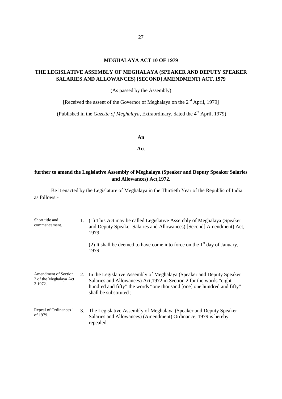## **MEGHALAYA ACT 10 OF 1979**

## **THE LEGISLATIVE ASSEMBLY OF MEGHALAYA (SPEAKER AND DEPUTY SPEAKER SALARIES AND ALLOWANCES) [SECOND] AMENDMENT) ACT, 1979**

(As passed by the Assembly)

[Received the assent of the Governor of Meghalaya on the  $2<sup>nd</sup>$  April, 1979]

(Published in the *Gazette of Meghalaya*, Extraordinary, dated the 4<sup>th</sup> April, 1979)

**An**

**Act**

## **further to amend the Legislative Assembly of Meghalaya (Speaker and Deputy Speaker Salaries and Allowances) Act,1972.**

Be it enacted by the Legislature of Meghalaya in the Thirtieth Year of the Republic of India as follows:-

| Short title and<br>commencement.                                 | 1. | (1) This Act may be called Legislative Assembly of Meghalaya (Speaker<br>and Deputy Speaker Salaries and Allowances) [Second] Amendment) Act,<br>1979.<br>(2) It shall be deemed to have come into force on the $1st$ day of January,<br>1979.    |
|------------------------------------------------------------------|----|---------------------------------------------------------------------------------------------------------------------------------------------------------------------------------------------------------------------------------------------------|
| <b>Amendment of Section</b><br>2 of the Meghalaya Act<br>2 1972. | 2. | In the Legislative Assembly of Meghalaya (Speaker and Deputy Speaker<br>Salaries and Allowances) Act, 1972 in Section 2 for the words "eight"<br>hundred and fifty" the words "one thousand [one] one hundred and fifty"<br>shall be substituted; |
| Repeal of Ordinances 1<br>of 1979.                               | 3. | The Legislative Assembly of Meghalaya (Speaker and Deputy Speaker<br>Salaries and Allowances) (Amendment) Ordinance, 1979 is hereby<br>repealed.                                                                                                  |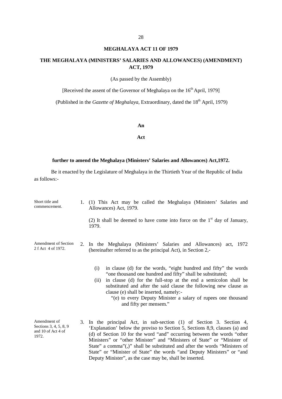#### **MEGHALAYA ACT 11 OF 1979**

## **THE MEGHALAYA (MINISTERS' SALARIES AND ALLOWANCES) (AMENDMENT) ACT, 1979**

(As passed by the Assembly)

[Received the assent of the Governor of Meghalaya on the 16<sup>th</sup> April, 1979]

(Published in the *Gazette of Meghalaya*, Extraordinary, dated the 18<sup>th</sup> April, 1979)

#### **An**

#### **Act**

#### **further to amend the Meghalaya (Ministers' Salaries and Allowances) Act,1972.**

Be it enacted by the Legislature of Meghalaya in the Thirtieth Year of the Republic of India as follows:-

| Short title and<br>commencement.                                      | 1. (1) This Act may be called the Meghalaya (Ministers' Salaries and<br>Allowances) Act, 1979.<br>(2) It shall be deemed to have come into force on the $1st$ day of January,<br>1979.                                                                                                                                                                                                                                     |
|-----------------------------------------------------------------------|----------------------------------------------------------------------------------------------------------------------------------------------------------------------------------------------------------------------------------------------------------------------------------------------------------------------------------------------------------------------------------------------------------------------------|
| Amendment of Section<br>2 f Act 4 of 1972.                            | 2. In the Meghalaya (Ministers' Salaries and Allowances) act, 1972<br>(hereinafter referred to as the principal Act), in Section 2,-                                                                                                                                                                                                                                                                                       |
|                                                                       | in clause (d) for the words, "eight hundred and fifty" the words<br>(i)<br>"one thousand one hundred and fifty" shall be substituted;<br>in clause (d) for the full-stop at the end a semicolon shall be<br>(ii)<br>substituted and after the said clause the following new clause as<br>clause (e) shall be inserted, namely:-<br>"(e) to every Deputy Minister a salary of rupees one thousand<br>and fifty per mensem." |
| Amendment of<br>Sections 3, 4, 5, 8, 9<br>and 10 of Act 4 of<br>1972. | 3. In the principal Act, in sub-section (1) of Section 3. Section 4,<br>'Explanation' below the proviso to Section 5, Sections 8,9, clauses (a) and<br>(d) of Section 10 for the word "and" occurring between the words "other<br>Ministers" or "other Minister" and "Ministers of State" or "Minister of                                                                                                                  |

Deputy Minister", as the case may be, shall be inserted.

State" a comma"(,)" shall be substituted and after the words "Ministers of State" or "Minister of State" the words "and Deputy Ministers" or "and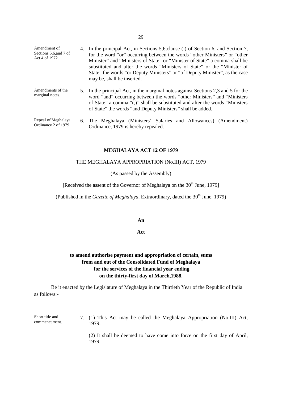- Amendment of Sections 5,6,and 7 of Act 4 of 1972. 4. In the principal Act, in Sections 5,6,clause (i) of Section 6, and Section 7, for the word "or" occurring between the words "other Ministers" or "other Minister" and "Ministers of State" or "Minister of State" a comma shall be substituted and after the words "Ministers of State" or the "Minister of State" the words "or Deputy Ministers" or "of Deputy Minister", as the case may be, shall be inserted.
- Amendments of the marginal notes. 5. In the principal Act, in the marginal notes against Sections 2,3 and 5 for the word "and" occurring between the words "other Ministers" and "Ministers of State" a comma "(,)" shall be substituted and after the words "Ministers of State" the words "and Deputy Ministers" shall be added.
- Repeal of Meghalaya 6. The Meghalaya (Ministers' Salaries and Allowances) (Amendment) Ordinance, 1979 is hereby repealed.

#### **MEGHALAYA ACT 12 OF 1979**

**\_\_\_\_\_\_**

Ordinance 2 of 1979

#### THE MEGHALAYA APPROPRIATION (No.III) ACT, 1979

(As passed by the Assembly)

[Received the assent of the Governor of Meghalaya on the  $30<sup>th</sup>$  June, 1979]

(Published in the *Gazette of Meghalaya*, Extraordinary, dated the 30<sup>th</sup> June, 1979)

#### **An**

#### **Act**

## **to amend authorise payment and appropriation of certain, sums from and out of the Consolidated Fund of Meghalaya for the services of the financial year ending on the thirty-first day of March,1988.**

Be it enacted by the Legislature of Meghalaya in the Thirtieth Year of the Republic of India as follows:-

Short title and commencement. 7. (1) This Act may be called the Meghalaya Appropriation (No.III) Act, 1979.

> (2) It shall be deemed to have come into force on the first day of April, 1979.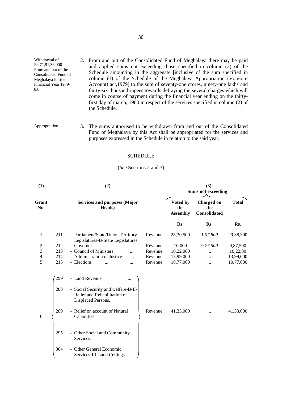Withdrawal of Rs.71,91,36,000 From and out of the Consolidated Fund of Meghalaya for the Financial Year 1979- 2. From and out of the Consolidated Fund of Meghalaya there may be paid and applied sums not exceeding those specified in column (3) of the Schedule amounting in the aggregate [inclusive of the sum specified in column (3) of the Schedule of the Meghalaya Appropriation (Vote-on- Account) act,1979] to the sum of seventy-one crores, ninety-one lakhs and thirty-six thousand rupees towards defraying the several charges which will come in course of payment during the financial year ending on the thirtyfirst day of march, 1980 in respect of the services specified in column (2) of the Schedule.

Appropriation. 3. The sums authorised to be withdrawn from and out of the Consolidated Fund of Meghalaya by this Act shall be appropriated for the services and purposes expressed in the Schedule in relation to the said year.

8.0

#### **SCHEDULE**

#### (*See* Sections 2 and 3)

| (1)            |     | (2)                                                                                       | (3)<br><b>Sums not exceeding</b> |                                    |                                          |              |
|----------------|-----|-------------------------------------------------------------------------------------------|----------------------------------|------------------------------------|------------------------------------------|--------------|
| Grant<br>No.   |     | <b>Services and purposes (Major</b><br>Heads)                                             |                                  | Voted by<br>the<br><b>Assembly</b> | <b>Charged on</b><br>the<br>Consolidated | <b>Total</b> |
|                |     |                                                                                           |                                  | Rs.                                | Rs.                                      | Rs.          |
| 1              | 211 | - Parliament/State/Union Territory<br>Legislatures-B-State Legislatures.                  | Revenue                          | 28,30,500                          | 1,07,800                                 | 29,38,300    |
| 2              | 212 | - Governor<br>$\ddotsc$                                                                   | Revenue                          | 10,000                             | 9,77,500                                 | 9,87,500     |
| 3              | 213 | - Council of Ministers<br>$\ddotsc$                                                       | Revenue                          | 10,22,000                          | .                                        | 10,22,00     |
| $\overline{4}$ | 214 | - Administration of Justice                                                               | Revenue                          | 13,99,000                          |                                          | 13,99,000    |
| 5              | 215 | - Elections<br>$\ddotsc$<br>$\ddotsc$                                                     | Revenue                          | 10,77,000                          | $\dddotsc$                               | 10,77,000    |
|                | 299 | - Land Revenue                                                                            |                                  |                                    |                                          |              |
|                | 288 | - Social Security and welfare-B-II-<br>Relief and Rehabilitation of<br>Displaced Persons. |                                  |                                    |                                          |              |
| 6              | 289 | - Relief on account of Natural<br>Calamities.                                             | Revenue                          | 41,33,000                          |                                          | 41,33,000    |
|                | 295 | - Other Social and Community<br>Services.                                                 |                                  |                                    |                                          |              |
|                | 304 | - Other General Economic<br>Services-III-Land Ceilings.                                   |                                  |                                    |                                          |              |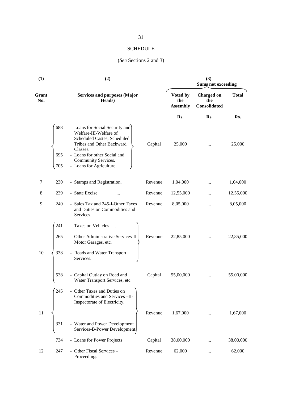### SCHEDULE

## (*See* Sections 2 and 3)

| (1)          |                   | (2)                                                                                                                                                                                                                  | (3)<br><b>Sums not exceeding</b> |                                    |                                          |              |
|--------------|-------------------|----------------------------------------------------------------------------------------------------------------------------------------------------------------------------------------------------------------------|----------------------------------|------------------------------------|------------------------------------------|--------------|
| Grant<br>No. |                   | <b>Services and purposes (Major</b><br>Heads)                                                                                                                                                                        |                                  | Voted by<br>the<br><b>Assembly</b> | <b>Charged on</b><br>the<br>Consolidated | <b>Total</b> |
|              |                   |                                                                                                                                                                                                                      |                                  | Rs.                                | Rs.                                      | Rs.          |
|              | 688<br>695<br>705 | - Loans for Social Security and<br>Welfare-III-Welfare of<br>Scheduled Castes, Scheduled<br>Tribes and Other Backward<br>Classes.<br>- Loans for other Social and<br>Community Services.<br>- Loans for Agriculture. | Capital                          | 25,000                             |                                          | 25,000       |
| 7            | 230               | - Stamps and Registration.                                                                                                                                                                                           | Revenue                          | 1,04,000                           |                                          | 1,04,000     |
| 8            | 239               | - State Excise<br>                                                                                                                                                                                                   | Revenue                          | 12,55,000                          | $\ddotsc$                                | 12,55,000    |
| 9            | 240               | - Sales Tax and 245-I-Other Taxes<br>and Duties on Commodities and<br>Services.                                                                                                                                      | Revenue                          | 8,05,000                           | $\cdots$                                 | 8,05,000     |
|              | 241               | - Taxes on Vehicles                                                                                                                                                                                                  |                                  |                                    |                                          |              |
|              | 265               | - Other Administrative Services-II-<br>Motor Garages, etc.                                                                                                                                                           | Revenue                          | 22,85,000                          |                                          | 22,85,000    |
| 10           | 338               | - Roads and Water Transport<br>Services.                                                                                                                                                                             |                                  |                                    |                                          |              |
|              | 538               | - Capital Outlay on Road and<br>Water Transport Services, etc.                                                                                                                                                       | Capital                          | 55,00,000                          |                                          | 55,00,000    |
|              | 245               | - Other Taxes and Duties on<br>Commodities and Services-II-<br>Inspectorate of Electricity.                                                                                                                          |                                  |                                    |                                          |              |
| 11           | 331               | - Water and Power Development<br>Services-B-Power Development,                                                                                                                                                       | Revenue                          | 1,67,000                           | $\cdots$                                 | 1,67,000     |
|              | 734               | - Loans for Power Projects                                                                                                                                                                                           | Capital                          | 38,00,000                          |                                          | 38,00,000    |
| 12           | 247               | - Other Fiscal Services -<br>Proceedings                                                                                                                                                                             | Revenue                          | 62,000                             | $\cdots$                                 | 62,000       |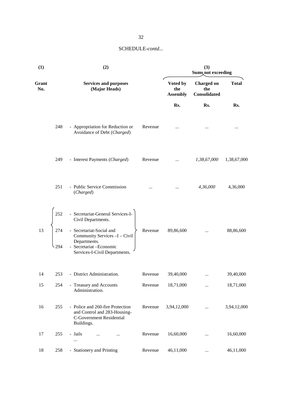| (1)          |                   | (2)                                                                                                                                                                                                |         | (3)<br>Sums, not exceeding         |                                          |              |  |
|--------------|-------------------|----------------------------------------------------------------------------------------------------------------------------------------------------------------------------------------------------|---------|------------------------------------|------------------------------------------|--------------|--|
| Grant<br>No. |                   | <b>Services and purposes</b><br>(Major Heads)                                                                                                                                                      |         | Voted by<br>the<br><b>Assembly</b> | <b>Charged on</b><br>the<br>Consolidated | <b>Total</b> |  |
|              |                   |                                                                                                                                                                                                    |         | Rs.                                | Rs.                                      | Rs.          |  |
|              | 248               | - Appropriation for Reduction or<br>Avoidance of Debt (Charged)                                                                                                                                    | Revenue | $\ldots$                           | $\cdots$                                 | $\cdots$     |  |
|              | 249               | - Interest Payments (Charged)                                                                                                                                                                      | Revenue | $\cdots$                           | 1,38,67,000                              | 1,38,67,000  |  |
|              | 251               | - Public Service Commission<br>(Charged)                                                                                                                                                           |         |                                    | 4,36,000                                 | 4,36,000     |  |
| 13           | 252<br>274<br>294 | - Secretariat-General Services-I-<br>Civil Departments.<br>- Secretariat-Social and<br>Community Services - I - Civil<br>Departments.<br>- Secretariat - Economic<br>Services-I-Civil Departments. | Revenue | 89,86,600                          | $\cdots$                                 | 88,86,600    |  |
| 14           | 253               | - District Administration.                                                                                                                                                                         | Revenue | 39,40,000                          | $\cdots$                                 | 39,40,000    |  |
| 15           | 254               | - Treasury and Accounts<br>Administration.                                                                                                                                                         | Revenue | 18,71,000                          |                                          | 18,71,000    |  |
| 16           | 255               | - Police and 260-fire Protection<br>and Control and 283-Housing-<br><b>C-Government Residential</b><br>Buildings.                                                                                  | Revenue | 3,94,12,000                        | $\cdots$                                 | 3,94,12,000  |  |
| 17           | 255               | - Jails<br>$\cdots$<br>$\cdots$                                                                                                                                                                    | Revenue | 16,60,000                          | $\cdots$                                 | 16,60,000    |  |
| 18           | 258               | - Stationery and Printing                                                                                                                                                                          | Revenue | 46,11,000                          | $\cdots$                                 | 46,11,000    |  |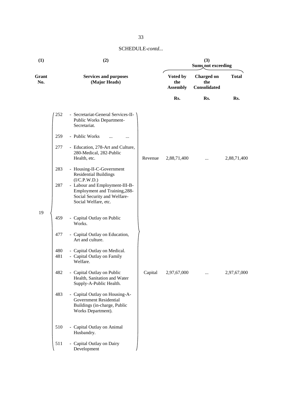| (1)          | (2)        |                                                                                                                         |         | (3)<br>Sums, not exceeding         |                                          |              |  |
|--------------|------------|-------------------------------------------------------------------------------------------------------------------------|---------|------------------------------------|------------------------------------------|--------------|--|
| Grant<br>No. |            | <b>Services and purposes</b><br>(Major Heads)                                                                           |         | Voted by<br>the<br><b>Assembly</b> | <b>Charged on</b><br>the<br>Consolidated | <b>Total</b> |  |
|              |            |                                                                                                                         |         | Rs.                                | Rs.                                      | Rs.          |  |
|              | 252        | - Secretariat-General Services-II-<br>Public Works Department-<br>Secretariat.                                          |         |                                    |                                          |              |  |
|              | 259        | - Public Works<br><br>$\ddotsc$                                                                                         |         |                                    |                                          |              |  |
|              | 277        | - Education, 278-Art and Culture,<br>280-Medical, 282-Public<br>Health, etc.                                            | Revenue | 2,88,71,400                        |                                          | 2,88,71,400  |  |
|              | 283        | - Housing-II-C-Government<br><b>Residential Buildings</b><br>(I/C.P.W.D.)                                               |         |                                    |                                          |              |  |
|              | 287        | - Labour and Employment-III-B-<br>Employment and Training, 288-<br>Social Security and Welfare-<br>Social Welfare, etc. |         |                                    |                                          |              |  |
| 19           | 459        | - Capital Outlay on Public<br>Works.                                                                                    |         |                                    |                                          |              |  |
|              | 477        | - Capital Outlay on Education,<br>Art and culture.                                                                      |         |                                    |                                          |              |  |
|              | 480<br>481 | - Capital Outlay on Medical.<br>- Capital Outlay on Family<br>Welfare.                                                  |         |                                    |                                          |              |  |
|              | 482        | - Capital Outlay on Public<br>Health, Sanitation and Water<br>Supply-A-Public Health.                                   | Capital | 2,97,67,000                        |                                          | 2,97,67,000  |  |
|              | 483        | - Capital Outlay on Housing-A-<br><b>Government Residential</b><br>Buildings (in-charge, Public<br>Works Department).   |         |                                    |                                          |              |  |
|              | 510        | - Capital Outlay on Animal<br>Husbandry.                                                                                |         |                                    |                                          |              |  |
|              | 511        | - Capital Outlay on Dairy<br>Development                                                                                |         |                                    |                                          |              |  |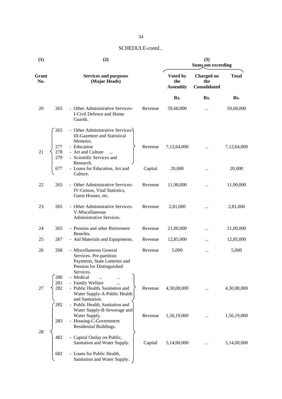## 34

| (1)          | (2)               |                                                                                                                              |         | (3)<br>Sums, not exceeding         |                                          |              |  |
|--------------|-------------------|------------------------------------------------------------------------------------------------------------------------------|---------|------------------------------------|------------------------------------------|--------------|--|
| Grant<br>No. |                   | <b>Services and purposes</b><br>(Major Heads)                                                                                |         | Voted by<br>the<br><b>Assembly</b> | <b>Charged on</b><br>the<br>Consolidated | <b>Total</b> |  |
|              |                   |                                                                                                                              |         | Rs.                                | Rs.                                      | Rs.          |  |
| 20           | 265               | - Other Administrative Services-<br>I-Civil Defence and Home<br>Guards.                                                      | Revenue | 59,68,000                          | $\cdots$                                 | 59,68,000    |  |
|              | 265               | - Other Administrative Services-<br><b>III-Gazetteer and Statistical</b><br>Memoirs.                                         |         |                                    |                                          |              |  |
| 21           | 277<br>278<br>279 | - Education<br>- Art and Culture<br>$\ldots$<br>- Scientific Services and<br>Research.                                       | Revenue | 7,12,64,000                        | $\cdots$                                 | 7,12,64,000  |  |
|              | 677               | - Loans for Education, Art and<br>Culture.                                                                                   | Capital | 20,000                             |                                          | 20,000       |  |
| 22           | 265               | - Other Administrative Services-<br>IV-Census, Vital Statistics,<br>Guest Houses, etc.                                       | Revenue | 11,90,000                          |                                          | 11,90,000    |  |
| 23           | 265               | - Other Administrative Services-<br>V-Miscellaneous<br>Administrative Services.                                              | Revenue | 2,81,000                           |                                          | 2,81,000     |  |
| 24           | 265               | - Pension and other Retirement<br>Benefits.                                                                                  | Revenue | 21,00,000                          |                                          | 21,00,000    |  |
| 25           | 267               | - Aid Materials and Equipments.                                                                                              | Revenue | 12,85,000                          |                                          | 12,85,000    |  |
| 26           | 268               | - Miscellaneous General<br>Services-Pre-partition<br>Payments, State Lotteries and<br>Pension for Distinguished<br>Services. | Revenue | 5,000                              | $\cdots$                                 | 5,000        |  |
|              | 280               | - Medical<br>$\cdots$                                                                                                        |         |                                    |                                          |              |  |
| 27           | 281<br>282        | - Family Welfare<br><br>- Public Health, Sanitation and<br>Water Supply-A-Public Health                                      | Revenue | 4,30,08,000                        |                                          | 4,30,08,000  |  |
|              | 282               | and Sanitation.<br>- Public Health, Sanitation and<br>Water Supply-B-Sewerage and                                            |         |                                    |                                          |              |  |
|              | 283               | Water Supply.<br>- Housing-C-Government<br>Residential Buildings.                                                            | Revenue | 1,56,19,000                        | $\cdots$                                 | 1,56,19,000  |  |
| 28           |                   |                                                                                                                              |         |                                    |                                          |              |  |
|              | 482               | - Capital Outlay on Public,<br>Sanitation and Water Supply.                                                                  | Capital | 5,14,00,000                        |                                          | 5,14,00,000  |  |
|              | 682               | - Loans for Public Health,<br>Sanitation and Water Supply.                                                                   |         |                                    |                                          |              |  |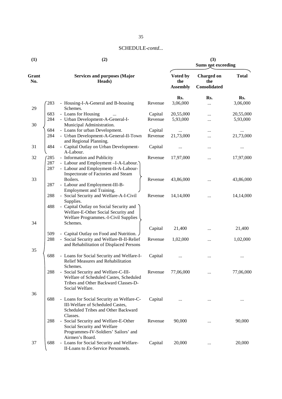| (1)          |     | (2)                                                                                                                    | (3)<br><b>Sums not exceeding</b> |                                    |                                          |              |
|--------------|-----|------------------------------------------------------------------------------------------------------------------------|----------------------------------|------------------------------------|------------------------------------------|--------------|
| Grant<br>No. |     | <b>Services and purposes (Major</b><br>Heads)                                                                          |                                  | Voted by<br>the<br><b>Assembly</b> | <b>Charged on</b><br>the<br>Consolidated | <b>Total</b> |
|              |     |                                                                                                                        |                                  | Rs.                                | Rs.                                      | Rs.          |
|              | 283 | - Housing-I-A-General and B-housing                                                                                    | Revenue                          | 3,06,000                           | $\cdots$                                 | 3,06,000     |
| 29           | 683 | Schemes.<br>- Loans for Housing<br>$\cdots$                                                                            | Capital                          | 20,55,000                          |                                          | 20,55,000    |
|              | 284 | - Urban Development-A-General-I-                                                                                       | Revenue                          | 5,93,000                           | <br>$\cdots$                             | 5,93,000     |
| 30           |     | Municipal Administration.                                                                                              |                                  |                                    |                                          |              |
|              | 684 | - Loans for urban Development.                                                                                         | Capital                          | $\cdots$                           |                                          | $\cdots$     |
|              | 284 | - Urban Development-A-General-II-Town                                                                                  | Revenue                          | 21,73,000                          |                                          | 21,73,000    |
|              |     | and Regional Planning.                                                                                                 |                                  |                                    |                                          |              |
| 31           | 484 | - Capital Outlay on Urban Development-<br>A-Labour.                                                                    | Capital                          | $\cdots$                           |                                          | $\cdots$     |
| 32           | 285 | - Information and Publicity                                                                                            | Revenue                          | 17,97,000                          |                                          | 17,97,000    |
|              | 287 | - Labour and Employment -I-A-Labour.                                                                                   |                                  |                                    |                                          |              |
|              | 287 | - Labour and Employment-II-A-Labour-                                                                                   |                                  |                                    |                                          |              |
| 33           |     | Inspectorate of Factories and Steam<br>Boilers.                                                                        | Revenue                          | 43,86,000                          |                                          | 43,86,000    |
|              | 287 | - Labour and Employment-III-B-                                                                                         |                                  |                                    |                                          |              |
|              |     | Employment and Training.                                                                                               |                                  |                                    |                                          |              |
|              | 288 | - Social Security and Welfare-A-I-Civil                                                                                | Revenue                          | 14,14,000                          |                                          | 14,14,000    |
|              |     | Supplies.                                                                                                              |                                  |                                    |                                          |              |
|              | 488 | - Capital Outlay on Social Security and<br>Welfare-E-Other Social Security and<br>Welfare Programmes.-I-Civil Supplies |                                  |                                    |                                          |              |
| 34           |     | Schemes.                                                                                                               |                                  |                                    |                                          |              |
|              |     |                                                                                                                        | Capital                          | 21,400                             | $\cdots$                                 | 21,400       |
|              | 509 | - Capital Outlay on Food and Nutrition.                                                                                |                                  |                                    |                                          |              |
|              | 288 | - Social Security and Welfare-B-II-Relief                                                                              | Revenue                          | 1,02,000                           |                                          | 1,02,000     |
|              |     | and Rehabilitation of Displaced Persons                                                                                |                                  |                                    |                                          |              |
| 35           |     |                                                                                                                        |                                  |                                    |                                          |              |
|              | 688 | - Loans for Social Security and Welfare-I-                                                                             | Capital                          |                                    |                                          |              |
|              |     | Relief Measures and Rehabilitation<br>Schemes.                                                                         |                                  |                                    |                                          |              |
|              | 288 | - Social Security and Welfare-C-III-                                                                                   | Revenue                          | 77,06,000                          |                                          | 77,06,000    |
|              |     | Welfare of Scheduled Castes, Scheduled                                                                                 |                                  |                                    |                                          |              |
|              |     | Tribes and Other Backward Classes-D-                                                                                   |                                  |                                    |                                          |              |
|              |     | Social Welfare.                                                                                                        |                                  |                                    |                                          |              |
| 36           |     |                                                                                                                        |                                  |                                    |                                          |              |
|              | 688 | - Loans for Social Security an Welfare-C-                                                                              | Capital                          | $\cdots$                           | $\cdots$                                 | $\cdots$     |
|              |     | III-Welfare of Scheduled Castes,                                                                                       |                                  |                                    |                                          |              |
|              |     | Scheduled Tribes and Other Backward<br>Classes.                                                                        |                                  |                                    |                                          |              |
|              | 288 | - Social Security and Welfare-E-Other                                                                                  | Revenue                          | 90,000                             |                                          | 90,000       |
|              |     | Social Security and Welfare                                                                                            |                                  |                                    | $\cdots$                                 |              |
|              |     | Programmes-IV-Soldiers' Sailors' and                                                                                   |                                  |                                    |                                          |              |
|              |     | Airmen's Board.                                                                                                        |                                  |                                    |                                          |              |
| 37           | 688 | - Loans for Social Security and Welfare-                                                                               | Capital                          | 20,000                             | $\cdots$                                 | 20,000       |
|              |     | II-Loans to Ex-Service Personnels.                                                                                     |                                  |                                    |                                          |              |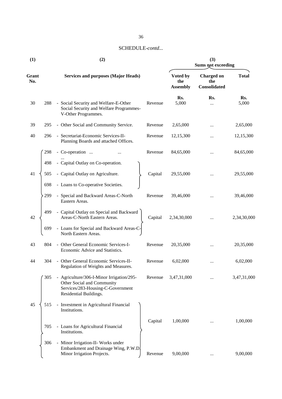| (1)          | (2) |                                                                                                                                        |         | (3)<br>Sums not exceeding          |                                          |              |  |
|--------------|-----|----------------------------------------------------------------------------------------------------------------------------------------|---------|------------------------------------|------------------------------------------|--------------|--|
| Grant<br>No. |     | <b>Services and purposes (Major Heads)</b>                                                                                             |         | Voted by<br>the<br><b>Assembly</b> | <b>Charged on</b><br>the<br>Consolidated | <b>Total</b> |  |
| 30           | 288 | - Social Security and Welfare-E-Other<br>Social Security and Welfare Programmes-<br>V-Other Programmes.                                | Revenue | Rs.<br>5,000                       | Rs.<br>$\cdots$                          | Rs.<br>5,000 |  |
| 39           | 295 | - Other Social and Community Service.                                                                                                  | Revenue | 2,65,000                           |                                          | 2,65,000     |  |
| 40           | 296 | - Secretariat-Economic Services-II-<br>Planning Boards and attached Offices.                                                           | Revenue | 12,15,300                          |                                          | 12,15,300    |  |
|              | 298 | - Co-operation                                                                                                                         | Revenue | 84,65,000                          | $\ddotsc$                                | 84,65,000    |  |
|              | 498 | - Capital Outlay on Co-operation.                                                                                                      |         |                                    |                                          |              |  |
| 41           | 505 | - Capital Outlay on Agriculture.                                                                                                       | Capital | 29,55,000                          |                                          | 29,55,000    |  |
|              | 698 | - Loans to Co-operative Societies.                                                                                                     |         |                                    |                                          |              |  |
|              | 299 | - Special and Backward Areas-C-North<br>Eastern Areas.                                                                                 | Revenue | 39,46,000                          |                                          | 39,46,000    |  |
| 42           | 499 | - Capital Outlay on Special and Backward<br>Areas-C-North Eastern Areas.                                                               | Capital | 2,34,30,000                        |                                          | 2,34,30,000  |  |
|              | 699 | - Loans for Special and Backward Areas-C-<br>North Eastern Areas.                                                                      |         |                                    |                                          |              |  |
| 43           | 804 | - Other General Economic Services-I-<br>Economic Advice and Statistics.                                                                | Revenue | 20,35,000                          |                                          | 20,35,000    |  |
| 44           | 304 | - Other General Economic Services-II-<br>Regulation of Weights and Measures.                                                           | Revenue | 6,02,000                           |                                          | 6,02,000     |  |
|              | 305 | - Agriculture/306-I-Minor Irrigation/295-<br>Other Social and Community<br>Services/283-Housing-C-Government<br>Residential Buildings. | Revenue | 3,47,31,000                        |                                          | 3,47,31,000  |  |
| 45           | 515 | - Investment in Agricultural Financial<br>Institutions.                                                                                |         |                                    |                                          |              |  |
|              | 705 | - Loans for Agricultural Financial<br>Institutions.                                                                                    | Capital | 1,00,000                           |                                          | 1,00,000     |  |
|              | 306 | - Minor Irrigation-II- Works under<br>Embankment and Drainage Wing, P.W.D.<br>Minor Irrigation Projects.                               | Revenue | 9,00,000                           | $\cdots$                                 | 9,00,000     |  |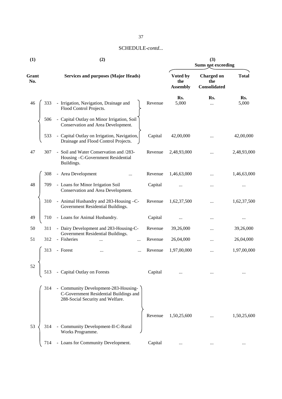| (1)          |     | (2)                                                                                                                | (3)<br><b>Sums not exceeding</b> |                                    |                                          |              |
|--------------|-----|--------------------------------------------------------------------------------------------------------------------|----------------------------------|------------------------------------|------------------------------------------|--------------|
| Grant<br>No. |     | <b>Services and purposes (Major Heads)</b>                                                                         |                                  | Voted by<br>the<br><b>Assembly</b> | <b>Charged on</b><br>the<br>Consolidated | <b>Total</b> |
| 46           | 333 | - Irrigation, Navigation, Drainage and<br>Flood Control Projects.                                                  | Revenue                          | Rs.<br>5,000                       | Rs.<br>$\cdots$                          | Rs.<br>5,000 |
|              | 506 | - Capital Outlay on Minor Irrigation, Soil<br>Conservation and Area Development.                                   |                                  |                                    |                                          |              |
|              | 533 | - Capital Outlay on Irrigation, Navigation,<br>Drainage and Flood Control Projects.                                | Capital                          | 42,00,000                          |                                          | 42,00,000    |
| 47           | 307 | - Soil and Water Conservation and /283-<br>Housing -C-Government Residential<br>Buildings.                         | Revenue                          | 2,48,93,000                        |                                          | 2,48,93,000  |
|              | 308 | - Area Development                                                                                                 | Revenue                          | 1,46,63,000                        |                                          | 1,46,63,000  |
| 48           | 709 | - Loans for Minor Irrigation Soil<br>Conservation and Area Development.                                            | Capital                          | $\cdots$                           | $\cdots$                                 |              |
|              | 310 | - Animal Husbandry and 283-Housing -C-<br>Government Residential Buildings.                                        | Revenue                          | 1,62,37,500                        | $\ddotsc$                                | 1,62,37,500  |
| 49           | 710 | - Loans for Animal Husbandry.                                                                                      | Capital                          | $\cdots$                           |                                          | $\cdots$     |
| 50           | 311 | - Dairy Development and 283-Housing-C-                                                                             | Revenue                          | 39,26,000                          |                                          | 39,26,000    |
| 51           | 312 | Government Residential Buildings.<br>- Fisheries<br><br>                                                           | Revenue                          | 26,04,000                          | $\ddotsc$                                | 26,04,000    |
|              | 313 | - Forest<br>                                                                                                       | Revenue                          | 1,97,00,000                        |                                          | 1,97,00,000  |
| 52           | 513 | - Capital Outlay on Forests                                                                                        | Capital                          | $\cdots$                           |                                          | $\ddotsc$    |
|              | 314 | - Community Development-283-Housing-<br>C-Government Residential Buildings and<br>288-Social Security and Welfare. |                                  |                                    |                                          |              |
| 53           | 314 | - Community Development-II-C-Rural<br>Works Programme.                                                             | Revenue                          | 1,50,25,600                        |                                          | 1,50,25,600  |
|              |     |                                                                                                                    |                                  |                                    |                                          |              |
|              | 714 | - Loans for Community Development.                                                                                 | Capital                          | $\ldots$                           | $\ldots$                                 | $\ldots$     |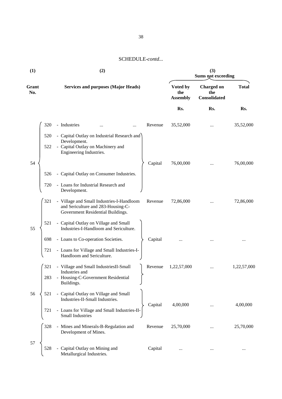| (1)          | (2)                                                                                                                                    | (3)<br>Sums not exceeding          |                                          |              |  |
|--------------|----------------------------------------------------------------------------------------------------------------------------------------|------------------------------------|------------------------------------------|--------------|--|
| Grant<br>No. | <b>Services and purposes (Major Heads)</b>                                                                                             | Voted by<br>the<br><b>Assembly</b> | <b>Charged on</b><br>the<br>Consolidated | <b>Total</b> |  |
|              |                                                                                                                                        | Rs.                                | Rs.                                      | Rs.          |  |
|              | 320<br>- Industries<br>Revenue                                                                                                         | 35,52,000                          |                                          | 35,52,000    |  |
|              | - Capital Outlay on Industrial Research and<br>520<br>Development.                                                                     |                                    |                                          |              |  |
|              | - Capital Outlay on Machinery and<br>522<br>Engineering Industries.                                                                    |                                    |                                          |              |  |
| 54           | Capital                                                                                                                                | 76,00,000                          |                                          | 76,00,000    |  |
|              | - Capital Outlay on Consumer Industries.<br>526                                                                                        |                                    |                                          |              |  |
|              | - Loans for Industrial Research and<br>720<br>Development.                                                                             |                                    |                                          |              |  |
|              | 321<br>- Village and Small Industries-I-Handloom<br>Revenue<br>and Sericulture and 283-Housing-C-<br>Government Residential Buildings. | 72,86,000                          |                                          | 72,86,000    |  |
| 55           | 521<br>- Capital Outlay on Village and Small<br>Industries-I-Handloom and Sericulture.                                                 |                                    |                                          |              |  |
|              | 698<br>- Loans to Co-operation Societies.<br>Capital                                                                                   |                                    |                                          |              |  |
|              | - Loans for Village and Small Industries-I-<br>721<br>Handloom and Sericulture.                                                        |                                    |                                          |              |  |
|              | 321<br>- Village and Small IndustriesII-Small<br>Revenue<br>Industries and                                                             | 1,22,57,000                        |                                          | 1,22,57,000  |  |
|              | - Housing-C-Government Residential<br>283<br>Buildings.                                                                                |                                    |                                          |              |  |
| 56           | - Capital Outlay on Village and Small<br>521<br>Industries-II-Small Industries.                                                        |                                    |                                          |              |  |
|              | Capital<br>721<br>- Loans for Village and Small Industries-II-<br><b>Small Industries</b>                                              | 4,00,000                           |                                          | 4,00,000     |  |
|              | 328<br>- Mines and Minerals-B-Regulation and<br>Revenue<br>Development of Mines.                                                       | 25,70,000                          |                                          | 25,70,000    |  |
| 57           | Capital Outlay on Mining and<br>528<br>Capital<br>Metallurgical Industries.                                                            | $\cdots$                           | $\ldots$                                 | $\cdots$     |  |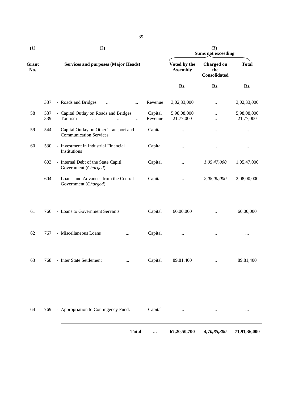| (1)          |            | (2)                                                                                                            |                                 | (3)<br><b>Sums not exceeding</b>         |                          |  |
|--------------|------------|----------------------------------------------------------------------------------------------------------------|---------------------------------|------------------------------------------|--------------------------|--|
| Grant<br>No. |            | <b>Services and purposes (Major Heads)</b>                                                                     | Voted by the<br><b>Assembly</b> | <b>Charged on</b><br>the<br>Consolidated | <b>Total</b>             |  |
|              |            |                                                                                                                | Rs.                             | Rs.                                      | Rs.                      |  |
|              | 337        | - Roads and Bridges<br>Revenue<br>$\ddotsc$<br>$\cdots$                                                        | 3,02,33,000                     | $\cdots$                                 | 3,02,33,000              |  |
| 58           | 537<br>339 | - Capital Outlay on Roads and Bridges<br>Capital<br>- Tourism<br>Revenue<br>$\dddotsc$<br>$\cdots$<br>$\cdots$ | 5,98,08,000<br>21,77,000        | <br>                                     | 5,98,08,000<br>21,77,000 |  |
| 59           | 544        | - Capital Outlay on Other Transport and<br>Capital<br>Communication Services.                                  | $\cdots$                        | $\cdots$                                 | $\ldots$                 |  |
| 60           | 530        | - Investment in Industrial Financial<br>Capital<br>Institutions                                                | $\ldots$                        | $\cdots$                                 | $\ldots$                 |  |
|              | 603        | - Internal Debt of the State Capitl<br>Capital<br>Government (Charged).                                        | $\cdots$                        | 1,05,47,000                              | 1,05,47,000              |  |
|              | 604        | - Loans and Advances from the Central<br>Capital<br>Government (Charged).                                      | $\cdots$                        | 2,08,00,000                              | 2,08,00,000              |  |
| 61           | 766        | - Loans to Government Servants<br>Capital                                                                      | 60,00,000                       | $\cdots$                                 | 60,00,000                |  |
| 62           | 767        | - Miscellaneous Loans<br>Capital<br>$\cdots$                                                                   | $\ldots$                        |                                          | $\cdots$                 |  |
| 63           | 768        | - Inter State Settlement<br>Capital<br>$\cdots$                                                                | 89,81,400                       |                                          | 89,81,400                |  |
| 64           | 769        | - Appropriation to Contingency Fund.<br>Capital                                                                |                                 |                                          | $\cdots$                 |  |
|              |            | <b>Total</b>                                                                                                   | 67,20,50,700                    | 4,70,85,300                              | 71,91,36,000             |  |

39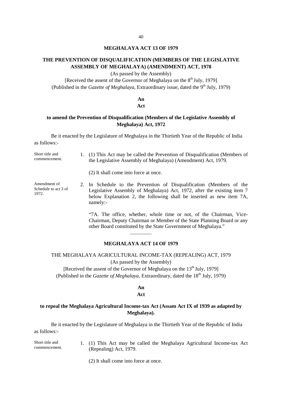#### **MEGHALAYA ACT 13 OF 1979**

## **THE PREVENTION OF DISQUALIFICATION (MEMBERS OF THE LEGISLATIVE ASSEMBLY OF MEGHALAYA) (AMENDMENT) ACT, 1978**

(As passed by the Assembly)

[Received the assent of the Governor of Meghalaya on the  $8<sup>th</sup>$  July, 1979] (Published in the *Gazette of Meghalaya*, Extraordinary issue, dated the 9<sup>th</sup> July, 1979)

#### **An Act**

### **to amend the Prevention of Disqualification (Members of the Legislative Assembly of Meghalaya) Act, 1972**

Be it enacted by the Legislature of Meghalaya in the Thirtieth Year of the Republic of India as follows:-

Short title and commencement. 1. (1) This Act may be called the Prevention of Disqualification (Members of the Legislative Assembly of Meghalaya) (Amendment) Act, 1979.

(2) It shall come into force at once.

Amendment of Schedule to act 3 of 1972. 2. In Schedule to the Prevention of Disqualification (Members of the Legislative Assembly of Meghalaya) Act, 1972, after the existing item 7 below Explanation 2, the following shall be inserted as new item 7A, namely:-

> "7A. The office, whether, whole time or not, of the Chairman, Vice- Chairman, Deputy Chairman or Member of the State Planning Board or any other Board constituted by the State Government of Meghalaya."

#### **MEGHALAYA ACT 14 OF 1979**

 $\overline{\phantom{a}}$  , and the set of the set of the set of the set of the set of the set of the set of the set of the set of the set of the set of the set of the set of the set of the set of the set of the set of the set of the s

## THE MEGHALAYA AGRICULTURAL INCOME-TAX (REPEALING) ACT, 1979 (As passed by the Assembly)

[Received the assent of the Governor of Meghalaya on the  $13<sup>th</sup>$  July, 1979] (Published in the *Gazette of Meghalaya*, Extraordinary, dated the 18<sup>th</sup> July, 1979)

## **An**

#### **Act**

## **to repeal the Meghalaya Agricultural Income-tax Act (Assam Act IX of 1939 as adapted by Meghalaya).**

Be it enacted by the Legislature of Meghalaya in the Thirtieth Year of the Republic of India as follows:-

Short title and commencement. 1. (1) This Act may be called the Meghalaya Agricultural Income-tax Act (Repealing) Act, 1979.

(2) It shall come into force at once.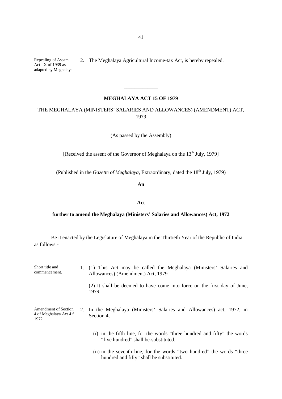Repealing of Assam Act IX of 1939 as adapted by Meghalaya. 2. The Meghalaya Agricultural Income-tax Act, is hereby repealed.

#### **MEGHALAYA ACT 15 OF 1979**

\_\_\_\_\_\_\_\_\_\_\_\_\_

THE MEGHALAYA (MINISTERS' SALARIES AND ALLOWANCES) (AMENDMENT) ACT, 1979

(As passed by the Assembly)

[Received the assent of the Governor of Meghalaya on the 13<sup>th</sup> July, 1979]

(Published in the *Gazette of Meghalaya*, Extraordinary, dated the 18<sup>th</sup> July, 1979)

**An**

#### **Act**

#### **further to amend the Meghalaya (Ministers' Salaries and Allowances) Act, 1972**

Be it enacted by the Legislature of Meghalaya in the Thirtieth Year of the Republic of India as follows:-

| Short title and<br>commencement.                        | 1. (1) This Act may be called the Meghalaya (Ministers' Salaries and<br>Allowances) (Amendment) Act, 1979.       |  |
|---------------------------------------------------------|------------------------------------------------------------------------------------------------------------------|--|
|                                                         | (2) It shall be deemed to have come into force on the first day of June,<br>1979.                                |  |
| Amendment of Section<br>4 of Meghalaya Act 4 f<br>1972. | 2. In the Meghalaya (Ministers' Salaries and Allowances) act, 1972, in<br>Section 4,                             |  |
|                                                         | (i) in the fifth line, for the words "three hundred and fifty" the words<br>"five hundred" shall be-substituted. |  |

(ii) in the seventh line, for the words "two hundred" the words "three hundred and fifty" shall be substituted.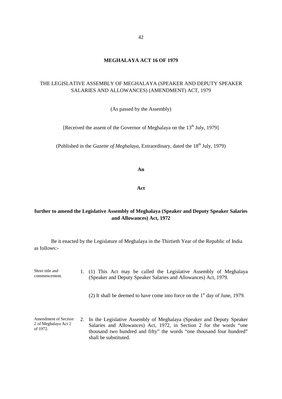## **MEGHALAYA ACT 16 OF 1979**

## THE LEGISLATIVE ASSEMBLY OF MEGHALAYA (SPEAKER AND DEPUTY SPEAKER SALARIES AND ALLOWANCES) (AMENDMENT) ACT, 1979

(As passed by the Assembly)

[Received the assent of the Governor of Meghalaya on the  $13<sup>th</sup>$  July, 1979]

(Published in the *Gazette of Meghalaya*, Extraordinary, dated the 18<sup>th</sup> July, 1979)

**An**

**Act**

## **further to amend the Legislative Assembly of Meghalaya (Speaker and Deputy Speaker Salaries and Allowances) Act, 1972**

Be it enacted by the Legislature of Meghalaya in the Thirtieth Year of the Republic of India as follows:-

Short title and commencement. 1. (1) This Act may be called the Legislative Assembly of Meghalaya (Speaker and Deputy Speaker Salaries and Allowances) Act, 1979.

(2) It shall be deemed to have come into force on the  $1<sup>st</sup>$  day of June, 1979.

Amendment of Section 2 of Meghalaya Act 2 of 1972. 2. In the Legislative Assembly of Meghalaya (Speaker and Deputy Speaker Salaries and Allowances) Act, 1972, in Section 2 for the words "one thousand two hundred and fifty" the words "one thousand four hundred" shall be substituted.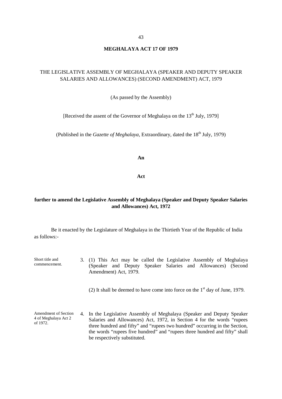#### **MEGHALAYA ACT 17 OF 1979**

## THE LEGISLATIVE ASSEMBLY OF MEGHALAYA (SPEAKER AND DEPUTY SPEAKER SALARIES AND ALLOWANCES) (SECOND AMENDMENT) ACT, 1979

#### (As passed by the Assembly)

[Received the assent of the Governor of Meghalaya on the  $13<sup>th</sup>$  July, 1979]

(Published in the *Gazette of Meghalaya*, Extraordinary, dated the 18<sup>th</sup> July, 1979)

**An**

**Act**

## **further to amend the Legislative Assembly of Meghalaya (Speaker and Deputy Speaker Salaries and Allowances) Act, 1972**

Be it enacted by the Legislature of Meghalaya in the Thirtieth Year of the Republic of India as follows:-

Short title and commencement. 3. (1) This Act may be called the Legislative Assembly of Meghalaya (Speaker and Deputy Speaker Salaries and Allowances) (Second Amendment) Act, 1979.

(2) It shall be deemed to have come into force on the  $1<sup>st</sup>$  day of June, 1979.

Amendment of Section 4 of Meghalaya Act 2 of 1972. 4. In the Legislative Assembly of Meghalaya (Speaker and Deputy Speaker Salaries and Allowances) Act, 1972, in Section 4 for the words "rupees three hundred and fifty" and "rupees two hundred" occurring in the Section, the words "rupees five hundred" and "rupees three hundred and fifty" shall be respectively substituted.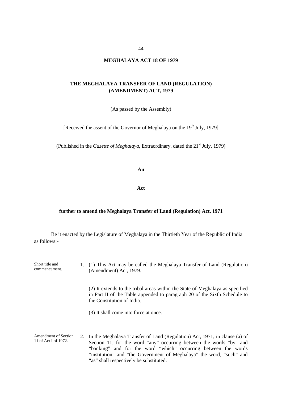#### 44

#### **MEGHALAYA ACT 18 OF 1979**

#### **THE MEGHALAYA TRANSFER OF LAND (REGULATION) (AMENDMENT) ACT, 1979**

(As passed by the Assembly)

[Received the assent of the Governor of Meghalaya on the  $19<sup>th</sup>$  July, 1979]

(Published in the *Gazette of Meghalaya*, Extraordinary, dated the 21<sup>st</sup> July, 1979)

**An**

**Act**

#### **further to amend the Meghalaya Transfer of Land (Regulation) Act, 1971**

Be it enacted by the Legislature of Meghalaya in the Thirtieth Year of the Republic of India as follows:-

Short title and commencement. 1. (1) This Act may be called the Meghalaya Transfer of Land (Regulation) (Amendment) Act, 1979.

> (2) It extends to the tribal areas within the State of Meghalaya as specified in Part II of the Table appended to paragraph 20 of the Sixth Schedule to the Constitution of India.

(3) It shall come into force at once.

Amendment of Section 11 of Act I of 1972. 2. In the Meghalaya Transfer of Land (Regulation) Act, 1971, in clause (a) of Section 11, for the word "any" occurring between the words "by" and "banking" and for the word "which" occurring between the words "institution" and "the Government of Meghalaya" the word, "such" and "as" shall respectively be substituted.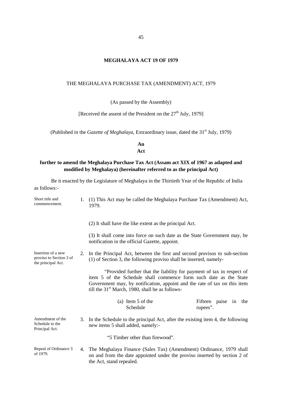## 45

## **MEGHALAYA ACT 19 OF 1979**

#### THE MEGHALAYA PURCHASE TAX (AMENDMENT) ACT, 1979

(As passed by the Assembly)

[Received the assent of the President on the  $27<sup>th</sup>$  July, 1979]

(Published in the *Gazette of Meghalaya*, Extraordinary issue, dated the 31<sup>st</sup> July, 1979)

**An Act**

## **further to amend the Meghalaya Purchase Tax Act (Assam act XIX of 1967 as adapted and modified by Meghalaya) (hereinafter referred to as the principal Act)**

Be it enacted by the Legislature of Meghalaya in the Thirtieth Year of the Republic of India as follows:-

| Short title and<br>commencement.                                    | 1. | (1) This Act may be called the Meghalaya Purchase Tax (Amendment) Act,<br>1979.                                                                                                                                                                                              |  |
|---------------------------------------------------------------------|----|------------------------------------------------------------------------------------------------------------------------------------------------------------------------------------------------------------------------------------------------------------------------------|--|
|                                                                     |    | (2) It shall have the like extent as the principal Act.                                                                                                                                                                                                                      |  |
|                                                                     |    | (3) It shall come into force on such date as the State Government may, be<br>notification in the official Gazette, appoint.                                                                                                                                                  |  |
| Insertion of a new<br>proviso to Section 3 of<br>the principal Act. |    | 2. In the Principal Act, between the first and second provisos to sub-section<br>(1) of Section 3, the following proviso shall be inserted, namely-                                                                                                                          |  |
|                                                                     |    | "Provided further that the liability for payment of tax in respect of<br>item 5 of the Schedule shall commence form such date as the State<br>Government may, by notification, appoint and the rate of tax on this item<br>till the $31st$ March, 1980, shall be as follows- |  |
|                                                                     |    | (a) Item 5 of the<br>Fifteen paise in the<br>Schedule<br>rupees".                                                                                                                                                                                                            |  |
| Amendment of the<br>Schedule to the<br>Principal Act.               |    | 3. In the Schedule to the principal Act, after the existing item 4, the following<br>new items 5 shall added, namely:-                                                                                                                                                       |  |
|                                                                     |    | "5 Timber other than firewood".                                                                                                                                                                                                                                              |  |
| Repeal of Ordinance 3<br>of 1979.                                   |    | 4. The Meghalaya Finance (Sales Tax) (Amendment) Ordinance, 1979 shall<br>on and from the date appointed under the proviso inserted by section 2 of<br>the Act, stand repealed.                                                                                              |  |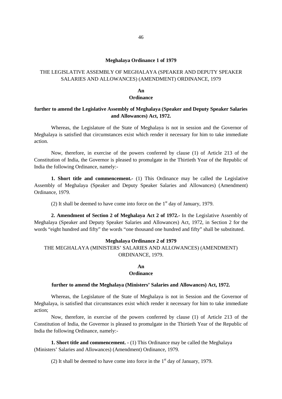#### **Meghalaya Ordinance 1 of 1979**

## THE LEGISLATIVE ASSEMBLY OF MEGHALAYA (SPEAKER AND DEPUTY SPEAKER SALARIES AND ALLOWANCES) (AMENDMENT) ORDINANCE, 1979

#### **An Ordinance**

#### **further to amend the Legislative Assembly of Meghalaya (Speaker and Deputy Speaker Salaries and Allowances) Act, 1972.**

Whereas, the Legislature of the State of Meghalaya is not in session and the Governor of Meghalaya is satisfied that circumstances exist which render it necessary for him to take immediate action.

Now, therefore, in exercise of the powers conferred by clause (1) of Article 213 of the Constitution of India, the Governor is pleased to promulgate in the Thirtieth Year of the Republic of India the following Ordinance, namely:-

**1. Short title and commencement.**- (1) This Ordinance may be called the Legislative Assembly of Meghalaya (Speaker and Deputy Speaker Salaries and Allowances) (Amendment) Ordinance, 1979.

(2) It shall be deemed to have come into force on the  $1<sup>st</sup>$  day of January, 1979.

**2. Amendment of Section 2 of Meghalaya Act 2 of 1972.-** In the Legislative Assembly of Meghalaya (Speaker and Deputy Speaker Salaries and Allowances) Act, 1972, in Section 2 for the words "eight hundred and fifty" the words "one thousand one hundred and fifty" shall be substituted.

#### **Meghalaya Ordinance 2 of 1979**

THE MEGHALAYA (MINISTERS' SALARIES AND ALLOWANCES) (AMENDMENT) ORDINANCE, 1979.

#### **An Ordinance**

#### **further to amend the Meghalaya (Ministers' Salaries and Allowances) Act, 1972.**

Whereas, the Legislature of the State of Meghalaya is not in Session and the Governor of Meghalaya, is satisfied that circumstances exist which render it necessary for him to take immediate action;

Now, therefore, in exercise of the powers conferred by clause (1) of Article 213 of the Constitution of India, the Governor is pleased to promulgate in the Thirtieth Year of the Republic of India the following Ordinance, namely:-

**1. Short title and commencement. -** (1) This Ordinance may be called the Meghalaya (Ministers' Salaries and Allowances) (Amendment) Ordinance, 1979.

(2) It shall be deemed to have come into force in the  $1<sup>st</sup>$  day of January, 1979.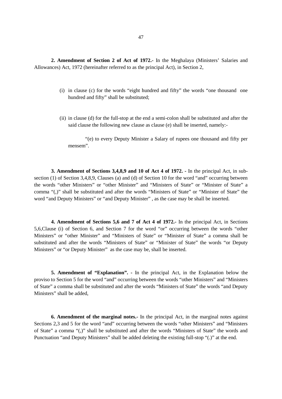**2. Amendment of Section 2 of Act of 1972.-** In the Meghalaya (Ministers' Salaries and Allowances) Act, 1972 (hereinafter referred to as the principal Act), in Section 2,

- (i) in clause (c) for the words "eight hundred and fifty" the words "one thousand one hundred and fifty" shall be substituted;
- (ii) in clause (d) for the full-stop at the end a semi-colon shall be substituted and after the said clause the following new clause as clause (e) shall be inserted, namely:-

"(e) to every Deputy Minister a Salary of rupees one thousand and fifty per mensem".

**3. Amendment of Sections 3,4,8,9 and 10 of Act 4 of 1972. -** In the principal Act, in sub section (1) of Section 3,4,8,9, Clauses (a) and (d) of Section 10 for the word "and" occurring between the words "other Ministers" or "other Minister" and "Ministers of State" or "Minister of State" a comma "(,)" shall be substituted and after the words "Ministers of State" or "Minister of State" the word "and Deputy Ministers" or "and Deputy Minister" , as the case may be shall be inserted.

**4. Amendment of Sections 5,6 and 7 of Act 4 of 1972.-** In the principal Act, in Sections 5,6,Clause (i) of Section 6, and Section 7 for the word "or" occurring between the words "other Ministers" or "other Minister" and "Ministers of State" or "Minister of State" a comma shall be substituted and after the words "Ministers of State" or "Minister of State" the words "or Deputy Ministers" or "or Deputy Minister" as the case may be, shall be inserted.

**5. Amendment of "Explanation". -** In the principal Act, in the Explanation below the proviso to Section 5 for the word "and" occurring between the words "other Ministers" and "Ministers of State" a comma shall be substituted and after the words "Ministers of State" the words "and Deputy Ministers" shall be added,

**6. Amendment of the marginal notes.-** In the principal Act, in the marginal notes against Sections 2,3 and 5 for the word "and" occurring between the words "other Ministers" and "Ministers of State" a comma "(,)" shall be substituted and after the words "Ministers of State" the words and Punctuation "and Deputy Ministers" shall be added deleting the existing full-stop "(.)" at the end.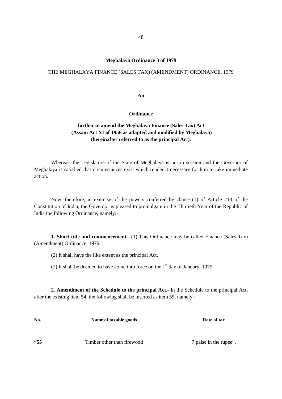#### **Meghalaya Ordinance 3 of 1979**

#### THE MEGHALAYA FINANCE (SALES TAX) (AMENDMENT) ORDINANCE, 1979

#### **An**

#### **Ordinance**

## **further to amend the Meghalaya Finance (Sales Tax) Act (Assam Act XI of 1956 as adapted and modified by Meghalaya) (hereinafter referred to as the principal Act).**

Whereas, the Legislature of the State of Meghalaya is not in session and the Governor of Meghalaya is satisfied that circumstances exist which render it necessary for him to take immediate action.

Now, therefore, in exercise of the powers conferred by clause (1) of Article 213 of the Constitution of India, the Governor is pleased to promulgate in the Thirtieth Year of the Republic of India the following Ordinance, namely:-

**1. Short title and commencement.-** (1) This Ordinance may be called Finance (Sales Tax) (Amendment) Ordinance, 1979.

(2) It shall have the like extent as the principal Act.

(2) It shall be deemed to have come into force on the  $1<sup>st</sup>$  day of January, 1979.

**2. Amendment of the Schedule to the principal Act.-** In the Schedule to the principal Act, after the existing item 54, the following shall be inserted as item 55, namely:-

| No. | Name of taxable goods      | Rate of tax            |
|-----|----------------------------|------------------------|
| 55  | Timber other than firewood | 7 paise in the rupee". |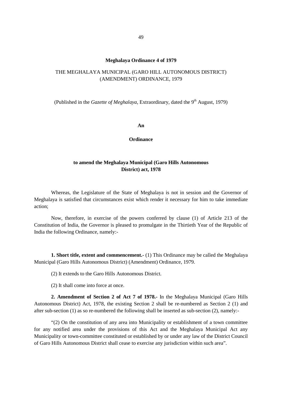#### **Meghalaya Ordinance 4 of 1979**

## THE MEGHALAYA MUNICIPAL (GARO HILL AUTONOMOUS DISTRICT) (AMENDMENT) ORDINANCE, 1979

(Published in the *Gazette of Meghalaya*, Extraordinary, dated the 9<sup>th</sup> August, 1979)

**An**

#### **Ordinance**

#### **to amend the Meghalaya Municipal (Garo Hills Autonomous District) act, 1978**

Whereas, the Legislature of the State of Meghalaya is not in session and the Governor of Meghalaya is satisfied that circumstances exist which render it necessary for him to take immediate action;

Now, therefore, in exercise of the powers conferred by clause (1) of Article 213 of the Constitution of India, the Governor is pleased to promulgate in the Thirtieth Year of the Republic of India the following Ordinance, namely:-

**1. Short title, extent and commencement.-** (1) This Ordinance may be called the Meghalaya Municipal (Garo Hills Autonomous District) (Amendment) Ordinance, 1979.

(2) It extends to the Garo Hills Autonomous District.

(2) It shall come into force at once.

**2. Amendment of Section 2 of Act 7 of 1978.-** In the Meghalaya Municipal (Garo Hills Autonomous District) Act, 1978, the existing Section 2 shall be re-numbered as Section 2 (1) and after sub-section (1) as so re-numbered the following shall be inserted as sub-section (2), namely:-

"(2) On the constitution of any area into Municipality or establishment of a town committee for any notified area under the provisions of this Act and the Meghalaya Municipal Act any Municipality or town-committee constituted or established by or under any law of the District Council of Garo Hills Autonomous District shall cease to exercise any jurisdiction within such area".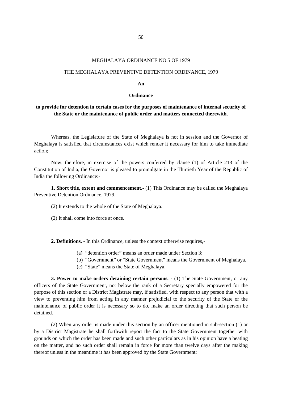#### MEGHALAYA ORDINANCE NO.5 OF 1979

#### THE MEGHALAYA PREVENTIVE DETENTION ORDINANCE, 1979

#### **An**

#### **Ordinance**

## **to provide for detention in certain cases for the purposes of maintenance of internal security of the State or the maintenance of public order and matters connected therewith.**

Whereas, the Legislature of the State of Meghalaya is not in session and the Governor of Meghalaya is satisfied that circumstances exist which render it necessary for him to take immediate action;

Now, therefore, in exercise of the powers conferred by clause (1) of Article 213 of the Constitution of India, the Governor is pleased to promulgate in the Thirtieth Year of the Republic of India the following Ordinance:-

**1. Short title, extent and commencement.-** (1) This Ordinance may be called the Meghalaya Preventive Detention Ordinance, 1979.

(2) It extends to the whole of the State of Meghalaya.

(2) It shall come into force at once.

**2. Definitions. -** In this Ordinance, unless the context otherwise requires,-

- (a) "detention order" means an order made under Section 3;
- (b) "Government" or "State Government" means the Government of Meghalaya.
- (c) "State" means the State of Meghalaya.

**3. Power to make orders detaining certain persons. -** (1) The State Government, or any officers of the State Government, not below the rank of a Secretary specially empowered for the purpose of this section or a District Magistrate may, if satisfied, with respect to any person that with a view to preventing him from acting in any manner prejudicial to the security of the State or the maintenance of public order it is necessary so to do, make an order directing that such person be detained.

(2) When any order is made under this section by an officer mentioned in sub-section (1) or by a District Magistrate he shall forthwith report the fact to the State Government together with grounds on which the order has been made and such other particulars as in his opinion have a beating on the matter, and no such order shall remain in force for more than twelve days after the making thereof unless in the meantime it has been approved by the State Government: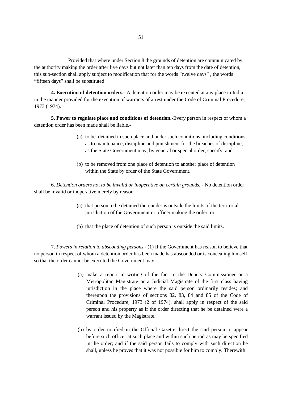Provided that where under Section 8 the grounds of detention are communicated by the authority making the order after five days but not later than ten days from the date of detention, this sub-section shall apply subject to modification that for the words "twelve days" , the words "fifteen days" shall be substituted.

**4. Execution of detention orders.-** A detention order may be executed at any place in India in the manner provided for the execution of warrants of arrest under the Code of Criminal Procedure, 1973 (1974).

**5. Power to regulate place and conditions of detention.-**Every person in respect of whom a detention order has been made shall be liable.-

- (a) to be detained in such place and under such conditions, including conditions as to maintenance, discipline and punishment for the breaches of discipline, as the State Government may, by general or special order, specify; and
- (b) to be removed from one place of detention to another place of detention within the State by order of the State Government.

6. *Detention orders not to be invalid or inoperative on certain grounds. -* No detention order shall be invalid or inoperative merely by reason-

- (a) that person to be detained thereunder is outside the limits of the territorial jurisdiction of the Government or officer making the order; or
- (b) that the place of detention of such person is outside the said limits.

7. *Powers in relation to absconding persons*.- (1) If the Government has reason to believe that no person in respect of whom a detention order has been made has absconded or is concealing himself so that the order cannot be executed the Government may-

- (a) make a report in writing of the fact to the Deputy Commissioner or a Metropolitan Magistrate or a Judicial Magistrate of the first class having jurisdiction in the place where the said person ordinarily resides; and thereupon the provisions of sections 82, 83, 84 and 85 of the Code of Criminal Procedure, 1973 (2 of 1974), shall apply in respect of the said person and his property as if the order directing that he be detained were a warrant issued by the Magistrate.
- (b) by order notified in the Official Gazette direct the said person to appear before such officer at such place and within such period as may be specified in the order; and if the said person fails to comply with such direction he shall, unless he proves that it was not possible for him to comply. Therewith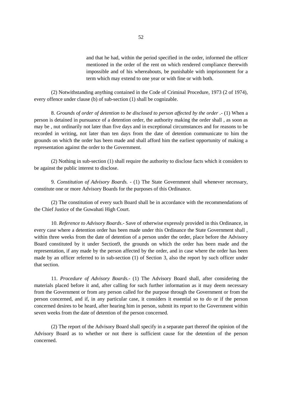and that he had, within the period specified in the order, informed the officer mentioned in the order of the rent on which rendered compliance therewith impossible and of his whereabouts, be punishable with imprisonment for a term which may extend to one year or with fine or with both.

(2) Notwithstanding anything contained in the Code of Criminal Procedure, 1973 (2 of 1974), every offence under clause (b) of sub-section (1) shall be cognizable.

8. *Grounds of order of detention to be disclosed to person affected by the order .-* (1) When a person is detained in pursuance of a detention order, the authority making the order shall , as soon as may be , nut ordinarily not later than five days and in exceptional circumstances and for reasons to be recorded in writing, not later than ten days from the date of detention communicate to him the grounds on which the order has been made and shall afford him the earliest opportunity of making a representation against the order to the Government.

(2) Nothing in sub-section (1) shall require the authority to disclose facts which it considers to be against the public interest to disclose.

9. *Constitution of Advisory Boards. -* (1) The State Government shall whenever necessary, constitute one or more Advisory Boards for the purposes of this Ordinance.

(2) The constitution of every such Board shall be in accordance with the recommendations of the Chief Justice of the Guwahati High Court.

10. *Reference to Advisory Boards*.- Save of otherwise expressly provided in this Ordinance, in every case where a detention order has been made under this Ordinance the State Government shall , within three weeks from the date of detention of a person under the order, place before the Advisory Board constituted by it under Section9, the grounds on which the order has been made and the representation, if any made by the person affected by the order, and in case where the order has been made by an officer referred to in sub-section (1) of Section 3, also the report by such officer under that section.

11. *Procedure of Advisory Boards.-* (1) The Advisory Board shall, after considering the materials placed before it and, after calling for such further information as it may deem necessary from the Government or from any person called for the purpose through the Government or from the person concerned, and if, in any particular case, it considers it essential so to do or if the person concerned desires to be heard, after hearing him in person, submit its report to the Government within seven weeks from the date of detention of the person concerned.

(2) The report of the Advisory Board shall specify in a separate part thereof the opinion of the Advisory Board as to whether or not there is sufficient cause for the detention of the person concerned.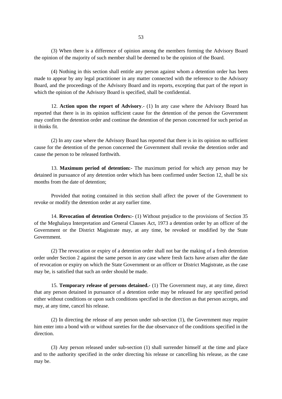(3) When there is a difference of opinion among the members forming the Advisory Board the opinion of the majority of such member shall be deemed to be the opinion of the Board.

(4) Nothing in this section shall entitle any person against whom a detention order has been made to appear by any legal practitioner in any matter connected with the reference to the Advisory Board, and the proceedings of the Advisory Board and its reports, excepting that part of the report in which the opinion of the Advisory Board is specified, shall be confidential.

12. **Action upon the report of Advisory**.- (1) In any case where the Advisory Board has reported that there is in its opinion sufficient cause for the detention of the person the Government may confirm the detention order and continue the detention of the person concerned for such period as it thinks fit.

(2) In any case where the Advisory Board has reported that there is in its opinion no sufficient cause for the detention of the person concerned the Government shall revoke the detention order and cause the person to be released forthwith.

13. **Maximum period of detention:-** The maximum period for which any person may be detained in pursuance of any detention order which has been confirmed under Section 12, shall be six months from the date of detention;

Provided that noting contained in this section shall affect the power of the Government to revoke or modify the detention order at any earlier time.

14. **Revocation of detention Orders:-** (1) Without prejudice to the provisions of Section 35 of the Meghalaya Interpretation and General Clauses Act, 1973 a detention order by an officer of the Government or the District Magistrate may, at any time, be revoked or modified by the State Government.

(2) The revocation or expiry of a detention order shall not bar the making of a fresh detention order under Section 2 against the same person in any case where fresh facts have arisen after the date of revocation or expiry on which the State Government or an officer or District Magistrate, as the case may be, is satisfied that such an order should be made.

15. **Temporary release of persons detained.-** (1) The Government may, at any time, direct that any person detained in pursuance of a detention order may be released for any specified period either without conditions or upon such conditions specified in the direction as that person accepts, and may, at any time, cancel his release.

(2) In directing the release of any person under sub-section (1), the Government may require him enter into a bond with or without sureties for the due observance of the conditions specified in the direction.

(3) Any person released under sub-section (1) shall surrender himself at the time and place and to the authority specified in the order directing his release or cancelling his release, as the case may be.